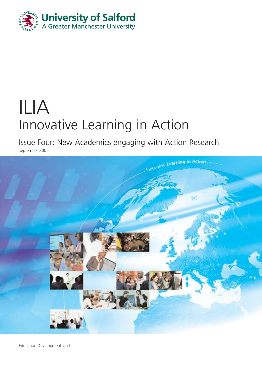

# ILIA Innovative Learning in Action

Issue Four: New Academics engaging with Action Research

September 2005



Education Development Unit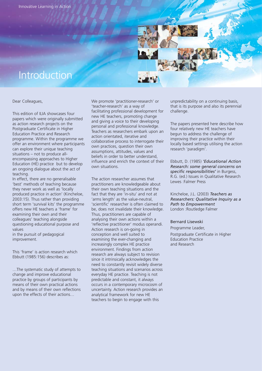

# Introduction

Dear Colleagues,

This edition of ILIA showcases four papers which were originally submitted as action research projects on the Postgraduate Certificate in Higher Education Practice and Research programme. Within the programme we offer an environment where participants can explore their unique teaching situations – not to produce allencompassing approaches to Higher Education (HE) practice but to develop an ongoing dialogue about the act of teaching.

In effect, there are no generalisable 'best' methods of teaching because they never work as well as 'locally produced practice in action' (Kincheloe, 2003:15). Thus rather than providing short term 'survival kits' the programme offers new HE teachers a 'frame' for examining their own and their colleagues' teaching alongside questioning educational purpose and values in the pursuit of pedagogical improvement.

This 'frame' is action research which Ebbutt (1985:156) describes as:

…The systematic study of attempts to change and improve educational practice by groups of participants by means of their own practical actions and by means of their own reflections upon the effects of their actions…

We promote 'practitioner-research' or 'teacher-research' as a way of facilitating professional development for new HE teachers, promoting change and giving a voice to their developing personal and professional knowledge. Teachers as researchers embark upon an action orientated, iterative and collaborative process to interrogate their own practices, question their own assumptions, attitudes, values and beliefs in order to better understand, influence and enrich the context of their own situations.

The action researcher assumes that practitioners are knowledgeable about their own teaching situations and the fact that they are 'in-situ' and not at 'arms length' as the value-neutral, 'scientific' researcher is often claimed to be, does not invalidate their knowledge. Thus, practitioners are capable of analysing their own actions within a 'reflective practitioner' modus operandi. Action research is on-going in conception and well suited to examining the ever-changing and increasingly complex HE practice environment. Findings from action research are always subject to revision since it intrinsically acknowledges the need to constantly revisit widely diverse teaching situations and scenarios across everyday HE practice. Teaching is not predictable and constant, it always occurs in a contemporary microcosm of uncertainty. Action research provides an analytical framework for new HE teachers to begin to engage with this

unpredictability on a continuing basis, that is its purpose and also its perennial challenge.

The papers presented here describe how four relatively new HE teachers have begun to address the challenge of improving their practice within their locally based settings utilising the action research 'paradigm'.

Ebbutt, D. (1985) *'Educational Action Research: some general concerns on specific responsibilities'* in Burgess, R.G. (ed.) Issues in Qualitative Research Lewes :Falmer Press

Kincheloe, J.L. (2003) *Teachers as Researchers: Qualitative Inquiry as a Path to Empowerment* London :Routledge Falmer

### Bernard Lisewski

Programme Leader, Postgraduate Certificate in Higher Education Practice and Research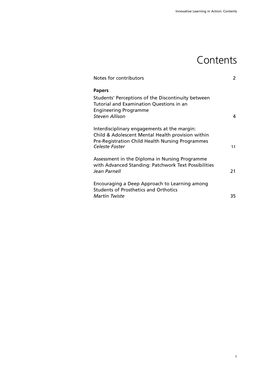# **Contents**

| Notes for contributors                                                                                                                                                   | 2   |
|--------------------------------------------------------------------------------------------------------------------------------------------------------------------------|-----|
| <b>Papers</b><br>Students' Perceptions of the Discontinuity between<br>Tutorial and Examination Questions in an<br><b>Engineering Programme</b><br><b>Steven Allison</b> | 4   |
| Interdisciplinary engagements at the margin:<br>Child & Adolescent Mental Health provision within<br>Pre-Registration Child Health Nursing Programmes<br>Celeste Foster  | 11  |
| Assessment in the Diploma in Nursing Programme<br>with Advanced Standing: Patchwork Text Possibilities<br>Jean Parnell                                                   | 21  |
| Encouraging a Deep Approach to Learning among<br><b>Students of Prosthetics and Orthotics</b><br>Martin Twiste                                                           | 35. |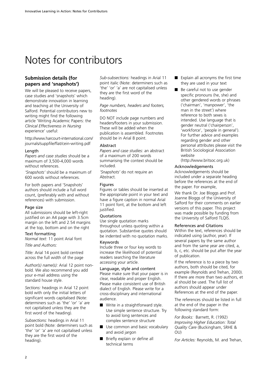# Notes for contributors

# **Submission details (for papers and 'snapshots')**

We will be pleased to receive papers, case studies and 'snapshots' which demonstrate innovation in learning and teaching at the University of Salford. Potential contributors new to writing might find the following article 'Writing Academic Papers: the *Clinical Effectiveness in Nursing* experience' useful:

http://www.harcourt-international.com/ journals/suppfile/flat/cein-writing.pdf

#### Length

*Papers and case studies* should be a maximum of 3,500-4,000 words without references.

*'Snapshots'* should be a maximum of 600 words without references.

For both papers and 'Snapshots' authors should include a full word count, (preferably with and without references) with submission.

#### Page size

All submissions should be left-right justified on an A4 page with 3.5cm margin on the left and 2.54 margins at the top, bottom and on the right

# Text formatting

*Normal text:* 11 point Arial font

*Title and Authors:*

*Title:* Arial 14 point bold centred across the full width of the page

*Author(s) name(s):* Arial 12 point nonbold. We also recommend you add your e-mail address using the standard house style.

*Sections:* headings in Arial 12 point bold with only the initial letters of significant words capitalised (Note: determiners such as 'the' 'or' 'a' are not capitalised unless they are the first word of the heading).

*Subsections:* headings in Arial 11 point bold (Note: determiners such as 'the' 'or' 'a' are not capitalised unless they are the first word of the heading).

*Sub-subsections:* headings in Arial 11 point italic (Note: determiners such as 'the' 'or' 'a' are not capitalised unless they are the first word of the heading).

*Page numbers, headers and footers, footnotes*

DO NOT include page numbers and headers/footers in your submission. These will be added when the publication is assembled. Footnotes should be in Arial 8 point.

#### Abstract

*Papers and case studies:* an abstract of a maximum of 200 words summarising the context should be included.

*'Snapshots'* do not require an Abstract.

#### **Figures**

Figures or tables should be inserted at the appropriate point in your text and have a figure caption in normal Arial 11 point font, at the bottom and left justified.

#### **Ouotations**

Use single quotation marks throughout unless quoting within a quotation. Substantive quotes should be indented with no quotation marks.

#### Keywords

Include three or four key words to increase the likelihood of potential readers searching the literature accessing your article.

Language, style and content Please make sure that your paper is in clear, readable and proper English. Please make consistent use of British dialect of English. Please write for a cross-disciplinary and international audience.

- Write in a straightforward style. Use simple sentence structure. Try to avoid long sentences and complex sentence structure
- Use common and basic vocabulary and avoid jargon
- Briefly explain or define all technical terms
- Explain all acronyms the first time they are used in your text
- Be careful not to use gender specific pronouns (he, she) and other gendered words or phrases ('chairman', 'manpower', 'the man in the street') where reference to both sexes is intended. Use language that is gender neutral ('chairperson', 'workforce', 'people in general'). For further advice and examples regarding gender and other personal attributes please visit the British Sociological Association website

(http://www.britsoc.org.uk)

#### Acknowledgements

Acknowledgements should be included under a separate heading before the references at the end of the paper. For example,

We thank Dr. Joe Bloggs and Prof. Joanne Bloggs of the University of Salford for their comments on earlier versions of this paper. This project was made possible by funding from the University of Salford TLQIS.

#### References and Citations

Within the text, references should be indicated using (author, year). If several papers by the same author and from the same year are cited, a, b, c, etc. should be put after the year of publication.

If the reference is to a piece by two authors, both should be cited, for example (Reynolds and Trehan, 2000). If there are more than two authors, et al should be used. The full list of authors should appear under References at the end of the paper.

The references should be listed in full at the end of the paper in the following standard form:

*For Books:* Barnett, R. (1992) *Improving Higher Education: Total Quality Care* (Buckingham, SRHE & OU)

*For Articles:* Reynolds, M. and Trehan,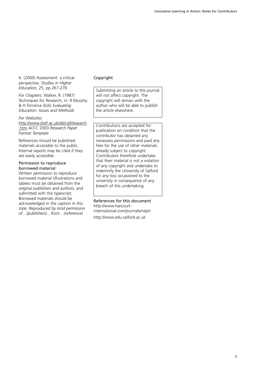K. (2000) Assessment: a critical perspective, *Studies in Higher Education,* 25, pp.267-278

*For Chapters:* Walker, R. (1987) Techniques for Research, in: R.Murphy & H.Torrance (Eds) *Evaluating Education: Issues and Methods*

*For Websites:*

http://www.shef.ac.uk/alt/call/research .htm ALT-C 2003 *Research Paper Format Template*

References should be published materials accessible to the public. Internal reports may be cited if they are easily accessible.

#### Permission to reproduce borrowed material

Written permission to reproduce borrowed material (illustrations and tables) must be obtained from the *original publishers and authors,* and submitted with the typescript. Borrowed materials should be acknowledged in the caption in this style: *Reproduced by kind permission of…(publishers)…from…(reference)*

#### Copyright

Submitting an article to this journal will not affect copyright. The copyright will remain with the author who will be able to publish the article elsewhere.

Contributions are accepted for publication on condition that the contributor has obtained any necessary permissions and paid any fees for the use of other materials already subject to copyright. Contributors therefore undertake that their material is not a violation of any copyright and undertake to indemnify the University of Salford for any loss occasioned to the university in consequence of any breach of this undertaking.

References for this document http://www.harcourtinternational.com/journals/nepr/ http://www.edu.salford.ac.uk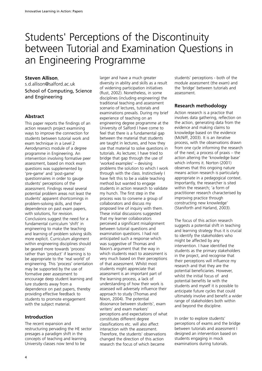# Students' Perceptions of the Discontinuity between Tutorial and Examination Questions in an Engineering Programme

### **Steven Allison**,

s.d.allison@salford.ac.uk School of Computing, Science and Engineering

# **Abstract**

This paper reports the findings of an action research project examining ways to improve the connection for students between tutorial work and exam technique in a Level 2 Aerodynamics module of a degree programme in Engineering. An intervention involving formative peer assessment, based on mock exam questions was supplemented by 'pre-game' and 'post-game' questionnaires in order to gauge students' perceptions of the assessment. Findings reveal several potential problem areas not least the students' apparent shortcomings in problem-solving skills, and their dependence on past exam papers, with solutions, for revision. Conclusions suggest the need for a fundamental curriculum 'shift' in engineering to make the teaching and learning of problem solving skills more explicit. Curriculum alignment within engineering disciplines should be geared more towards 'process' rather than 'product' if learning is to be appropriate to the 'real world' of engineering. This 'process' orientation may be supported by the use of formative peer assessment to encourage deep student learning and lure students away from a dependence on past papers, thereby providing effective feedback to students to promote engagement with the subject material.

# **Introduction**

The recent expansion and restructuring pervading the HE sector presages a paradigm shift in the concepts of teaching and learning. University classes now tend to be

larger and have a much greater diversity in ability and skills as a result of widening participation initiatives (Rust, 2002). Nonetheless, in some disciplines (including engineering) the traditional teaching and assessment scenario of lectures, tutorials and examinations prevails. During my brief experience of teaching on an engineering degree programme at the University of Salford I have come to feel that there is a fundamental gap between the material that students are taught in lectures, and how they use that material to solve questions in tutorials. As lecturer, I have tried to bridge that gap through the use of 'worked examples' – devising problems the solution to which I work through with the class. Instinctively I have felt this to be a viable teaching method but wanted to engage students in action research to validate my hunch. The first step in the process was to convene a group of collaborators and discuss my proposed line of inquiry with them. These initial discussions suggested that my learner collaborators perceived a significant misalignment between tutorial questions and examination questions. I had not anticipated such a response which was suggestive of Thomas and Nixon's argument that the way in which students react to assessment is very much based on their perceptions of that assessment. Whilst most students might appreciate that assessment is an important part of the learning process, a lack of understanding of how their work is assessed will adversely influence their approach to study (Thomas and Nixon, 2004). The potential dissonance between students', exam writers' and exam markers' perceptions and expectations of what constitutes different degree classifications etc. will also affect interaction with the assessment. Therefore, the students' observations changed the direction of this action research the focus of which became

students' perceptions - both of the module assessment (the exam) and the 'bridge' between tutorials and assessment.

# **Research methodology**

Action research is a practice that involves data gathering, reflection on the action, generating data from the evidence and making claims to knowledge based on the evidence (McNiff, 2003). It is an iterative process, with the observations drawn from one cycle informing the research of the next; a process of praxis – the action altering the 'knowledge base' which informs it. Norton (2001) observes that this ongoing nature means action research is particularly appropriate in a pedagogical context. Importantly, the researcher is sited within the research; 'a form of practitioner research characterised by improving practice through constructing new knowledge' (Staniforth and Harland, 2003).

The focus of this action research suggests a potential shift in teaching and learning strategy thus it is crucial to identify the stakeholders who might be affected by any intervention. I have identified the students as the primary stakeholders in the project, and recognise that their perceptions will influence my research and that they are the potential beneficiaries. However, whilst the initial focus of and potential benefits lie with the students and myself it is possible to anticipate future cycles that could ultimately involve and benefit a wider range of stakeholders both within and beyond the discipline.

In order to explore students' perceptions of exams and the bridge between tutorials and assessment I designed an intervention based on students engaging in mock examinations during tutorials.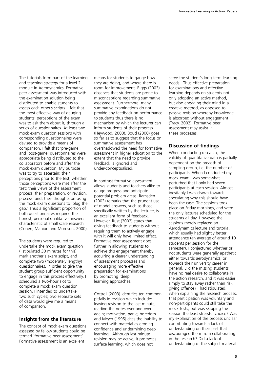The tutorials form part of the learning and teaching strategy for a level 2 module in Aerodynamics. Formative peer assessment was introduced with the examination solution being distributed to enable students to assess each other's scripts. I felt that the most effective way of gauging students' perceptions of the exam was to ask them about it, through a series of questionnaires. At least two mock exam question sessions with corresponding questionnaires were devised to provide a means of comparison, I felt that 'pre-game' and 'post-game' questionnaires were appropriate being distributed to the collaborators before and after the mock exam question. My purpose was to try to ascertain: their perceptions prior to the test; whether those perceptions were met after the test; their views of the assessment process; their preparation, or revision, process; and, their thoughts on using the mock exam questions to 'plug the gap.' Thus a significant proportion of both questionnaires required the honest, personal qualitative answers characteristic of small scale research (Cohen, Manion and Morrison, 2000).

The students were required to undertake the mock exam question (I stipulated 30 minutes for this), mark another's exam script, and complete two (moderately lengthy) questionnaires. In order to give the student group sufficient opportunity to engage in this process effectively, I scheduled a two-hour slot to complete a mock exam question session. I intended to undertake two such cycles; two separate sets of data would give me a means of comparison.

# **Insights from the literature**

The concept of mock exam questions assessed by fellow students could be termed 'formative peer assessment'. Formative assessment is an excellent

means for students to gauge how they are doing, and where there is room for improvement. Biggs (2003) observes that students are prone to misconceptions regarding summative assessment. Furthermore, many summative examinations do not provide any feedback on performance to students thus there is no mechanism by which the lecturer can inform students of their progress (Heywood, 2000). Boud (2000) goes so far as to suggest that the focus on summative assessment has overshadowed the need for formative assessment in higher education to the extent that the need to provide feedback is ignored and under-conceptualised.

In contrast formative assessment allows students and teachers alike to gauge progress and anticipate potential problem areas. Ramsden (2003) remarks that the prudent use of model answers, such as those specifically written by the lecturer, is an excellent form of feedback. However, Rust (2002) states that giving feedback to students without requiring them to actively engage with it will only have limited effect. Formative peer assessment goes further in allowing students to achieve this engagement thereby acquiring a clearer understanding of assessment processes and encouraging more effective preparation for examinations by promoting 'deep' learning approaches.

Cottrell (2003) identifies ten common pitfalls in revision which include: leaving revision to the last minute; reading the notes over and over again; motivation; panic; boredom and Meyer (1995) cites the inability to connect with material as eroding confidence and undermining deep learning. Although last minute revision may be active, it promotes surface learning, which does not

serve the student's long-term learning needs. Thus effective preparation for examinations and effective learning depends on students not only adopting an active method, but also engaging their mind in a creative method, as opposed to passive revision whereby knowledge is absorbed without engagement (Tracy, 2002). Formative peer assessment may assist in these processes.

# **Discussion of findings**

When conducting research, the validity of quantitative data is partially dependent on the breadth of sampling group, i.e. the number of participants. When I conducted my mock exam I was somewhat perturbed that I only had seven participants at each session. Almost inevitably I was drawn towards speculating why this should have been the case. The sessions took place on Friday mornings, and were the only lectures scheduled for the students all day. However, the sessions merely replaced an Aerodynamics lecture and tutorial, which usually had slightly better attendance (an average of around 10 students per session for the semester). I conjectured whether or not students were generally apathetic either towards aerodynamics, or towards their university career in general. Did the missing students have no real desire to collaborate in the action research, and it was easier simply to stay away rather than risk giving offence? I had stipulated, when explaining the research process, that participation was voluntary and non-participants could still take the mock tests, but was skipping the session the least stressful choice? Was my explanation of the process unclear contributing towards a lack of understanding on their part that discouraged them from collaborating in the research? Did a lack of understanding of the subject material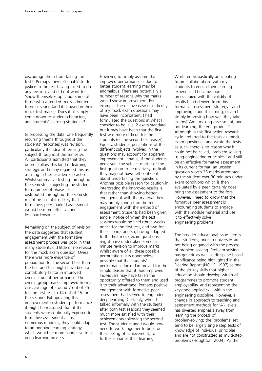discourage them from taking the test? Perhaps they felt unable to do justice to the test having failed to do any revision, and did not want to 'show themselves up'…but some of those who attended freely admitted to not revising (and it showed in their mock test marks). Does it all simply come down to student characters, and students' learning strategies?

In processing the data, one frequently recurring theme throughout the students' responses was revision, particularly the idea of revising the subject throughout the semester. All participants admitted that they do not follow this kind of learning strategy, and many regarded this as a failing in their academic practice. Whilst summative testing throughout the semester, subjecting the students to a number of phase tests distributed throughout the semester might be useful it is likely that formative, peer-marked assessment would be more effective and less burdensome.

Remaining on the subject of revision the data suggested that student engagement with the formative assessment process was poor in that many students did little or no revision for the mock exam question. Overall there was more evidence of preparation for the second test than the first and this might have been a contributory factor in improved overall student performance. The overall group marks improved from a class average of around 7 out of 25 for the first test to 14 out of 25 for the second. Extrapolating this improvement in student performance it might be reasoned that: if the students were continually exposed to formative assessment across numerous modules, they could adapt to an ongoing learning strategy which would be more conducive to a deep learning process.

However, to simply assume that improved performance is due to better student learning may be anomalous. There are potentially a number of reasons why the marks would show improvement. For example, the relative ease or difficulty of my mock exam questions may have been inconsistent. I had formulated the questions at what I consider to be level 2 exam standard, but it may have been that the first test was more difficult for the students (or the second test easier). Equally, students' perceptions of the different subjects involved in the questions may account for apparent improvement - that is, if the students perceived the subject matter of the first question to be relatively difficult, they may not have felt confident about undertaking the question. Another possible reason for caution in interpreting the improved results is that rather than showing better engagement with the material they may simply spring from better engagement with the method of assessment. Students had been given ample notice of when the test sessions would be held (three weeks notice for the first test, and two for the second), and so, having adapted to the first mock exam questions might have undertaken some last minute revision to improve marks. Whilst aware of all these possible permutations it is nonetheless possible that the students' performance looked improved for the simple reason that it had improved. Individuals may have taken the opportunity offered to them and used it to their advantage. Perhaps positive engagement with formative peer assessment had served to engender deep learning. Certainly, when I talked informally with the students after both test sessions they seemed much more satisfied with their achievements following the second test. The students and I would now need to work together to build on that feeling of achievement, to further enhance their learning.

Whilst enthusiastically anticipating future collaborations with my students to enrich their learning experience I became more preoccupied with the validity of results I had derived from this formative assessment strategy - am I improving student learning, or am I simply improving how well they take exams? Am I making assessment, and not learning, the end product? Although in this first action research cycle I referred to the tests as 'mock exam questions', and wrote the tests as such, there is no reason why it could not be called, 'problem-solving using engineering principles,' and still be an effective formative assessment In its current format, an unseen question worth 25 marks attempted by the student over 30 minutes under exam conditions which is then evaluated by a peer, certainly does bring the assessment to the fore. However, I need to know that the formative peer assessment is encouraging students to engage with the module material and use it to effectively solve engineering problems.

The broader educational issue here is that students, prior to university, are not being engaged with the process of problem-solving. Problem solving has generic as well as discipline-based significance being highlighted in the Dearing Report (NCIHE, 1997) as one of the six key skills that higher education should develop within all programmes to promote student employability, and representing the keystone applied skill within the engineering discipline. However, a change in approach to teaching and assessment methods for 'A'- levels has diverted emphasis away from learning the process of problem-solving; the 'problems' set tend to be largely single step tests of knowledge of individual principles, and are not constructed as multi-step problems (Houghton, 2004). As the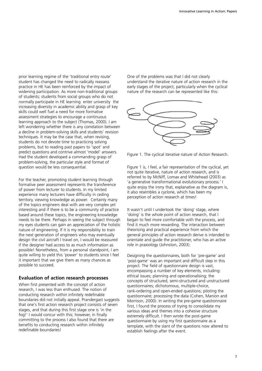prior learning regime of the 'traditional entry route' student has changed the need to radically reassess practice in HE has been reinforced by the impact of widening participation. As more non-traditional groups of students; students from social groups who do not normally participate in HE learning enter university the increasing diversity in academic ability and grasp of key skills could well fuel a need for more formative assessment strategies to encourage a continuous learning approach to the subject (Thomas, 2000). I am left wondering whether there is any correlation between a decline in problem-solving skills and students' revision techniques. It may be the case that, when revising, students do not devote time to practicing solving problems, but to reading past papers to 'spot' and predict questions and contrive almost 'model' answers. Had the student developed a commanding grasp of problem-solving, the particular style and format of question would be less consequential.

For the teacher, promoting student learning through formative peer assessment represents the transference of power from lecturer to students. In my limited experience many lecturers have difficulty in ceding territory, viewing knowledge as power. Certainly many of the topics engineers deal with are very complex yet interesting and if there is to be a community of practice based around these topics, the engineering knowledge needs to be there. Perhaps in seeing the subject through my eyes students can gain an appreciation of the holistic nature of engineering. If it is my responsibility to train the next generation of engineers who may eventually design the civil aircraft I travel on, I would be reassured if the designer had access to as much information as possible! Nonetheless, from a personal standpoint, I am quite willing to yield this 'power' to students since I feel it important that we give them as many chances as possible to succeed.

# **Evaluation of action research processes**

When first presented with the concept of action research, I was less than enthused. The notion of conducting research within infinitely redefinable boundaries did not initially appeal. Prandergast suggests that one's first action research project consists of seven stages, and that during this first stage one is 'in the fog!' I would concur with this; however, in finally committing to the process I also found that there are benefits to conducting research within infinitely redefinable boundaries!

One of the problems was that I did not clearly understand the iterative nature of action research in the early stages of the project, particularly when the cyclical nature of the research can be represented like this:



Figure 1. The cyclical iterative nature of Action Research.

Figure 1 is, I feel, a fair representation of the cyclical, yet not quite iterative, nature of action research, and is referred to by McNiff, Lomax and Whitehead (2003) as 'a generative transformational evolutionary process.' I quite enjoy the irony that, explanative as the diagram is, it also resembles a cyclone, which has been my perception of action research at times!

It wasn't until I undertook the 'doing' stage, where 'doing' is the whole point of action research, that I began to feel more comfortable with the process, and find it much more rewarding. The interaction between theorising and practical experience from which the general principles of action research derive is intended to orientate and guide the practitioner, who has an active role in praxiology (Johnston, 2003).

Designing the questionnaires, both for 'pre-game' and 'post-game' was an important and difficult step in this project. The field of questionnaire design is vast, encompassing a number of key elements, including: ethical issues; planning and operationalising; the concepts of structured, semi-structured and unstructured questionnaires; dichotomous, multiple-choice, rank-ordering and open-ended questions; piloting the questionnaire; processing the data (Cohen, Manion and Morrison, 2000). In writing the pre-game questionnaire first, I found the process of trying to consolidate my various ideas and themes into a cohesive structure extremely difficult. I then wrote the post-game questionnaire by using my first questionnaire as a template, with the slant of the questions now altered to establish feelings after the event.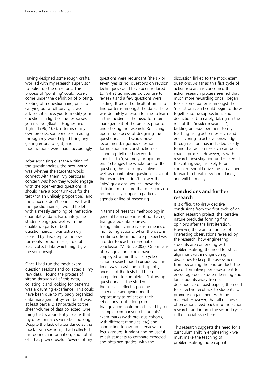Having designed some rough drafts, I worked with my research supervisor to polish up the questions. This process of 'polishing' could loosely come under the definition of piloting. Piloting of a questionnaire, prior to carrying out a full survey, is well advised; it allows you to modify your questions in light of the responses you receive (Blaxter, Hughes and Tight, 1996; 163). In terms of my own process, someone else reading through my work helped bring any glaring errors to light, and modifications were made accordingly.

After agonising over the writing of the questionnaires, the next worry was whether the students would connect with them. My particular concern was how they would engage with the open-ended questions: if I should have a poor turn-out for the test (not an unlikely proposition), and the students don't connect well with the questionnaires, I would be left with a measly sampling of ineffective quantitative data. Fortunately, the students engaged well with the qualitative parts of both questionnaires. I was extremely pleased by this; despite the low turn-outs for both tests, I did at least collect data which might give me some insights.

Once I had run the mock exam question sessions and collected all my raw data, I found the process of sifting through all of this data, collating it and looking for patterns was a daunting experience! This could have been due to my badly organized data management system but it was, at least partially, attributable to the sheer volume of data collected. One thing that is abundantly clear is that my questionnaires were far too long. Despite the lack of attendance at the mock exam sessions, I had collected far too much information, and not all of it has proved useful. Several of my

questions were redundant (the six or seven 'yes or no' questions on revision techniques could have been reduced to, 'what techniques do you use to revise?') and a few questions were leading. It proved difficult at times to find patterns amongst the data. There was definitely a lesson for me to learn in this incident – the need for more management of the process prior to undertaking the research. Reflecting upon the process of designing the questionnaires I would now recommend: rigorous question formulation and construction - changing 'tell me how you feel about...' to 'give me your opinion on...' changes the whole tone of the question; the use of qualitative as well as quantitative questions - even if the respondents don't answer the 'why' questions, you still have the statistics; make sure that questions do not implicitly support a particular agenda or line of reasoning.

In terms of research methodology in general I am conscious of not having triangulated data sources. Triangulation can serve as a means of monitoring actions, when the data is scrutinised from multiple perspectives in order to reach a reasonable conclusion (McNiff, 2003). One means of triangulation I could have employed within this first cycle of action research had I considered it in time, was to ask the participants, once all of the tests had been completed, to complete a 'follow-up' questionnaire, the students themselves reflecting on the experience and giving me the opportunity to reflect on their reflections. In the long run triangulation could be achieved by for example, comparison of students' exam marks (with previous cohorts, with different modules, etc) and conducting follow-up interviews or focus groups. It might also be useful to ask students to compare expected and obtained grades, with the

discussion linked to the mock exam questions. As far as this first cycle of action research is concerned the action research process seemed that much more rewarding once I began to see some patterns amongst the 'maelstrom', and could begin to draw together some suppositions and deductions. Ultimately, taking on the role of the 'insider researcher', tackling an issue pertinent to my teaching using action research and endeavoring to achieve knowledge through action, has indicated clearly to me that action research can be a chaotic process. However, as with all research, investigation undertaken at the cutting-edge is likely to be complex, should drive the researcher forward to break new boundaries, and will be messy.

# **Conclusions and further research**

It is difficult to draw decisive conclusions from the first cycle of an action research project; the iterative nature precludes forming firm opinions after the first iteration. However, there are a number of interesting observations revealed by the research: how engineering students are contending with problem-solving; the need for strict alignment within engineering disciplines to keep the assessment from becoming the end product; the use of formative peer assessment to encourage deep student learning and lure students away from a dependence on past papers; the need for effective feedback to students to promote engagement with the material. However, that all of these observations feed back into the action research, and inform the second cycle, is the crucial issue here.

This research suggests the need for a curriculum shift in engineering - we must make the teaching of problem-solving more explicit.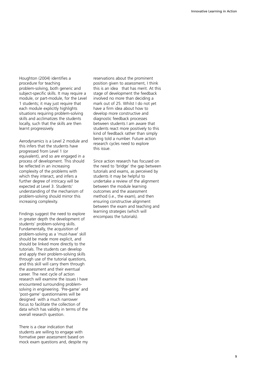Houghton (2004) identifies a procedure for teaching problem-solving, both generic and subject-specific skills. It may require a module, or part-module, for the Level 1 students; it may just require that each module explicitly highlights situations requiring problem-solving skills and acclimatizes the students locally, such that the skills are then learnt progressively.

Aerodynamics is a Level 2 module and this infers that the students have progressed from Level 1 (or equivalent), and so are engaged in a process of development. This should be reflected in an increasing complexity of the problems with which they interact, and infers a further degree of intricacy will be expected at Level 3. Students' understanding of the mechanism of problem-solving should mirror this increasing complexity.

Findings suggest the need to explore in greater depth the development of students' problem-solving skills. Fundamentally, the acquisition of problem-solving as a 'must-have' skill should be made more explicit, and should be linked more directly to the tutorials. The students can develop and apply their problem-solving skills through use of the tutorial questions, and this skill will carry them through the assessment and their eventual career. The next cycle of action research will examine the issues I have encountered surrounding problemsolving in engineering. 'Pre-game' and 'post-game' questionnaires will be designed with a much narrower focus to facilitate the collection of data which has validity in terms of the overall research question.

There is a clear indication that students are willing to engage with formative peer assessment based on mock exam questions and, despite my reservations about the prominent position given to assessment, I think this is an idea that has merit. At this stage of development the feedback involved no more than deciding a mark out of 25. Whilst I do not yet have a firm idea about how to develop more constructive and diagnostic feedback processes between students I am aware that students react more positively to this kind of feedback rather than simply being told a number. Future action research cycles need to explore this issue.

Since action research has focused on the need to 'bridge' the gap between tutorials and exams, as perceived by students it may be helpful to undertake a review of the alignment between the module learning outcomes and the assessment method (i.e., the exam), and then ensuring constructive alignment between the exam and teaching and learning strategies (which will encompass the tutorials).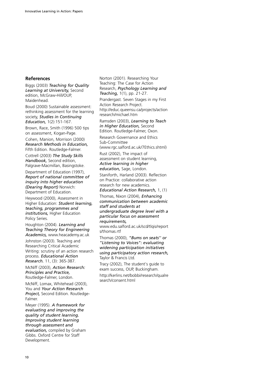# **References**

Biggs (2003) *Teaching for Quality Learning at University,* Second edition, McGraw-Hill/OUP, Maidenhead.

Boud (2000) Sustainable assessment: rethinking assessment for the learning society, *Studies in Continuing Education,* 1(2):151-167.

Brown, Race, Smith (1996) 500 tips on assessment, Kogan-Page.

Cohen, Manion, Morrison (2000) *Research Methods in Education,* Fifth Edition. Routledge-Falmer.

Cottrell (2003) *The Study Skills Handbook,* Second edition, Palgrave-Macmillan, Basingstoke.

Department of Education (1997), *Report of national committee of inquiry into higher education (Dearing Report)* Norwich: Department of Education.

Heywood (2000), Assessment in Higher Education: *Student learning, teaching, programmes and institutions,* Higher Education Policy Series.

Houghton (2004). *Learning and Teaching Theory for Engineering Academics,* www.heacademy.ac.uk

Johnston (2003). Teaching and Researching Critical Academic Writing: scrutiny of an action research process. *Educational Action Research.* 11, (3): 365-387.

McNiff (2003), *Action Research: Principles and Practice,* Routledge-Falmer, London.

McNiff, Lomax, Whitehead (2003), You and *Your Action Research Project,* Second Edition. Routledge-Falmer.

Meyer (1995). *A framework for evaluating and improving the quality of student learning. Improving student learning through assessment and evaluation,* compiled by Graham Gibbs. Oxford Centre for Staff Development.

Norton (2001). Researching Your Teaching: The Case for Action Research, *Psychology Learning and Teaching,* 1(1), pp. 21-27.

Prandergast. Seven Stages in my First Action Research Project. http://educ.queensu.ca/projects/action research/michael.htm

Ramsden (2003), *Learning to Teach in Higher Education,* Second Edition. Routledge-Falmer, Oxon.

Research Governance and Ethics Sub-Committee

(www.rgc.salford.ac.uk/7Ethics.shtml)

Rust (2002), The impact of assessment on student learning, *Active learning in higher education,* Sage, London.

Staniforth, Harland (2003). Reflection on Practice: collaborative action research for new academics.

*Educational Action Research,* 1, (1)

Thomas, Nixon (2004), *Enhancing communication between academic staff and students at undergraduate degree level with a particular focus on assessment requirements,*

www.edu.salford.ac.uk/scd/tlqis/report s/thomas.rtf

Thomas (2000), *"Bums on seats'' or "Listening to Voices": evaluating widening participation initiatives using participatory action research,* Taylor & Francis Ltd.

Tracy (2002), The student's guide to exam success, OUP, Buckingham.

http://kerlins.net/bobbi/research/qualre search/consent.html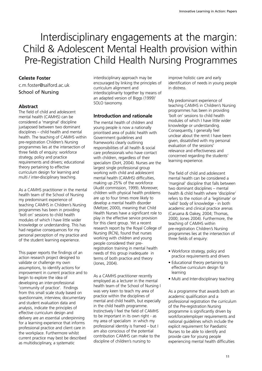# Interdisciplinary engagements at the margin: Child & Adolescent Mental Health provision within Pre-Registration Child Health Nursing Programmes

# **Celeste Foster**

c.m.foster@salford.ac.uk School of Nursing

# **Abstract**

The field of child and adolescent mental health (CAMHS) can be considered a 'marginal' discipline juxtaposed between two dominant disciplines – child health and mental health. The teaching of CAMHS within pre-registration Children's Nursing programmes lies at the intersection of three fields of enquiry: workforce strategy, policy and practice requirements and drivers; educational theory pertaining to effective curriculum design for learning and multi / inter-disciplinary teaching.

As a CAMHS practitioner in the mental health team of the School of Nursing my predominant experience of teaching CAMHS in Children's Nursing programmes has been in providing 'bolt on' sessions to child health modules of which I have little wider knowledge or understanding. This has had negative consequences for my personal perception of my practice and of the student learning experience.

This paper reports the findings of an action research project designed to validate or challenge my own assumptions, to identify actions for improvement in current practice and to begin to explore the idea of developing an inter-professional 'community of practice'. Findings from this small scale study based on questionnaire, interview, documentary and student evaluation data and analysis, indicate the principles of effective curriculum design and delivery are an essential underpinning for a learning experience that informs professional practice and client care in the workplace. Furthermore whilst current practice may best be described as multidisciplinary, a systematic

interdisciplinary approach may be encouraged by linking the principles of curriculum alignment and interdisciplinarity together by means of an adapted version of Biggs (1999)' SOLO taxonomy.

# **Introduction and rationale**

The mental health of children and young people is now a nationally prioritised area of public health with Government guidelines and frameworks clearly outlining responsibilities of all health & social care professionals who have contact with children, regardless of their specialism (DoH, 2004). Nurses are the largest single professional group working with child and adolescent mental health (CAMHS) difficulties, making up 25% of the workforce (Audit commission, 1999). Moreover, children with physical health problems are up to four times more likely to develop a mental health disorder (Meltzer, 2000), meaning that Child Health Nurses have a significant role to play in the effective service provision for this client group. Yet a recent research report by the Royal College of Nursing (RCN), found that nurses working with children and young people considered their preregistration training in mental health needs of this group inadequate in terms of both practice and theory (Jones, 2004).

As a CAMHS practitioner recently employed as a lecturer in the mental health team of the School of Nursing I was very keen to teach my area of practice within the disciplines of mental and child health, but especially in the child health programme. Instinctively I feel the field of CAMHS to be important in its own right - as my area of specialism in which my professional identity is framed – but I am also conscious of the potential contribution CAMHS can make to the discipline of children's nursing to

improve holistic care and early identification of needs in young people in distress.

My predominant experience of teaching CAMHS in Children's Nursing programmes has been in providing 'bolt on' sessions to child health modules of which I have little wider knowledge or understanding. Consequently, I generally feel unclear about the remit I have been given, dissatisfied with my personal evaluation of the sessions' relevance and effectiveness and concerned regarding the students' learning experience.

The field of child and adolescent mental health can be considered a 'marginal' discipline that falls between two dominant disciplines – mental health & child health where 'discipline' refers to the notion of a 'legitimate' or 'valid' body of knowledge - in both academic and clinical practice arenas (Caruana & Oakey, 2004; Thomas, 2000; Jones 2004). Furthermore, the teaching of CAMHS within pre-registration Children's Nursing programmes lies at the intersection of three fields of enquiry:

- Workforce strategy, policy and practice requirements and drivers
- Educational theory pertaining to effective curriculum design for learning
- Multi and Inter-disciplinary teaching

As a programme that awards both an academic qualification and a professional registration the curriculum of the Pre-registration Nursing programme is significantly driven by workforce/employer requirements and national guidelines which include the explicit requirement for Paediatric Nurses to be able to identify and provide care for young people experiencing mental health difficulties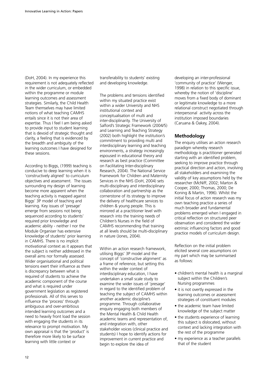(DoH, 2004). In my experience this requirement is not adequately reflected in the wider curriculum, or embedded within the programme or module learning outcomes and assessment strategies. Similarly, the Child Health Team themselves may have limited notions of what teaching CAMHS entails since it is not their area of expertise. Thus I feel I am being asked to provide input to student learning that is devoid of strategic thought and clarity, a feeling that is evidenced by the breadth and ambiguity of the learning outcomes I have designed for these sessions.

According to Biggs, (1999) teaching is conducive to deep learning when it is 'constructively aligned' to curriculum objectives and assessment. The issues surrounding my design of learning become more apparent when the teaching activity is mapped against Biggs' 3P model of teaching and learning. Key issues of 'presage' emerge from sessions not being sequenced according to students' required prior knowledge and academic ability - neither I nor the Module Organiser has extensive knowledge of students' prior learning in CAMHS. There is no implicit motivational context as it appears that the subject is neither addressed in the overall aims nor formally assessed. Wider organisational and political tensions exert their influence as there is discrepancy between what is required of students to achieve the academic component of the course and what is required under government legislation as registered professionals. All of this serves to influence the 'process' through ambiguous and over-ambitious intended learning outcomes and a need to heavily front load the session with engaging the students in its relevance to prompt motivation. My own appraisal is that the 'product' is therefore more likely to be surface learning with little context or

transferability to students' existing and developing knowledge.

The problems and tensions identified within my situated practice exist within a wider University and NHS institutional context and conceptualisation of multi and inter-disciplinarity. The University of Salford's Strategic Framework (2004/5) and Learning and Teaching Strategy (2002) both highlight the institution's commitment to providing multi and interdisciplinary learning and teaching environments, a strategy increasingly espoused in educational theory and research as best practice (Committee on Facilitating Inter-disciplinary Research, 2004). The National Service Framework for Children and Maternity Services in the NHS (DoH, 2004) sets multi-disciplinary and interdisciplinary collaboration and partnership as the cornerstone of its strategy to improve the delivery of healthcare services to children & young people. This is mirrored at a practitioner level with research into the training needs of Children's Nurses in the field of CAMHS recommending that training at all levels should be multi-disciplinary in nature (Jones, 2004).

Within an action research framework, utilising Biggs' 3P model and the concept of 'constructive alignment' as a frame of reference, but setting this within the wider context of interdisciplinary education, I have undertaken a small scale study to examine the wider issues of 'presage' in regard to the identified problem of teaching the subject of CAMHS within another academic discipline's programme. Through collaborative enquiry engaging both members of the Mental Health & Child Health academic teams and representation of, and integration with, other stakeholder voices (clinical practice and students) I hope to identify actions for improvement in current practice and begin to explore the idea of

developing an inter-professional 'community of practice' (Wenger, 1998) in relation to this specific issue, whereby the notion of 'discipline' moves from a fixed body of dominant or legitimate knowledge to a more relational construct negotiated through interpersonal activity across the institution imposed boundaries (Caruana & Oakey, 2004).

# **Methodology**

The enquiry utilises an action research paradigm whereby research methodology is practitioner generated starting with an identified problem, seeking to improve practice through practical direction and action, involving all stakeholders and examining the validity of key assumptions held by the researcher (McNiff, 2002; Marton & Cooper, 2000; Thomas, 2000; De Koning & Martin, 1996). Whilst the initial focus of action research was my own teaching practice a series of much broader and fundamental problems emerged when I engaged in critical reflection on structured peer observation and considered the wider extrinsic influencing factors and good practice models of curriculum design.

Reflection on the initial problem elicited several core assumptions on my part which may be summarised as follows:

- children's mental health is a marginal subject within the Children's Nursing programmes
- it is not overtly expressed in the learning outcomes or assessment strategies of constituent modules
- the academic team have limited knowledge of the subject matter
- the students experience of learning this subject is dislocated, without context and lacking integration with the rest of the programme
- my experience as a teacher parallels that of the student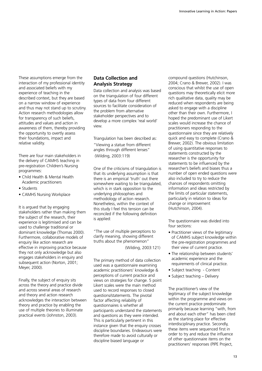These assumptions emerge from the interaction of my professional identity and associated beliefs with my experience of teaching in the described context, but they are based on a narrow window of experience and thus may not stand up to scrutiny. Action research methodologies allow for transparency of such beliefs, attitudes and values and action in awareness of them, thereby providing the opportunity to overtly assess their foundations, impact and relative validity.

There are four main stakeholders in the delivery of CAMHS teaching in pre-registration Children's Nursing programmes:

- Child Health & Mental Health Academic practitioners
- Students
- CAMHS Nursing Workplace

It is argued that by engaging stakeholders rather than making them the subject of the research, their experience is legitimised and can be used to challenge traditional or dominant knowledge (Thomas 2000). Furthermore, collaborative models of enquiry like action research are effective in improving practice because they not only acknowledge but also engages stakeholders in enquiry and subsequent action (Norton, 2001; Meyer, 2000).

Finally, the subject of enquiry sits across the theory and practice divide and across several areas of research and theory and action research acknowledges the interaction between theory and practice by enabling the use of multiple theories to illuminate practical events (Johnston, 2003).

# **Data Collection and Analysis Strategy**

Data collection and analysis was based on the triangulation of four different types of data from four different sources to facilitate consideration of the problem from alternative stakeholder perspectives and to develop a more complex 'real world' view.

Triangulation has been described as: "Viewing a statue from different angles through different lenses" (Wilding, 2003:119)

One of the criticisms of triangulation is that its underlying assumption is that there is an empirical 'truth' out there somewhere waiting to be triangulated, which is in stark opposition to the underlying philosophies and methodology of action research. Nonetheless, within the context of this study I feel this tension can be reconciled if the following definition is applied:

"The use of multiple perceptions to clarify meaning, showing different truths about the phenomenon" (Wilding, 2003:121)

The primary method of data collection used was a questionnaire examining academic practitioners' knowledge & perceptions of current practice and views on strategies for change. 5 point Likert scales were the main method used to record responses to closed questions/statements. The pivotal factor affecting reliability of questionnaires is whether all participants understand the statements and questions as they were intended. This is particularly pertinent in this instance given that the enquiry crosses discipline boundaries. Endeavours were therefore made to avoid culturally or discipline biased language or

compound questions (Hutchinson, 2004; Crano & Brewer, 2002). I was conscious that whilst the use of open questions may theoretically elicit more rich qualitative data, quality may be reduced when respondents are being asked to engage with a discipline other than their own. Furthermore, I hoped the predominant use of Likert scales would increase the chance of practitioners responding to the questionnaire since they are relatively quick and easy to complete (Crano & Brewer, 2002). The obvious limitation of using quantitative responses to statements constructed by the researcher is the opportunity for statements to be influenced by the researcher's beliefs and biases thus a number of open ended questions were also included to try to reduce the chances of respondents omitting information and ideas restricted by the limits of particular statements, particularly in relation to ideas for change or improvement (Hutchinson, 2004).

The questionnaire was divided into four sections:

- Practitioner views of the legitimacy of CAMHS subject knowledge within the pre-registration programmes and their view of current practice.
- The relationship between students' academic experience and the requirements of clinical practice.
- Subject teaching Content
- Subject teaching Delivery

The practitioner's view of the legitimacy of the subject knowledge within the programme and views on the current practice predominate primarily because learning "with, from and about each other" has been cited as the starting place for effective interdisciplinary practice. Secondly, these items were sequenced first in order to try and reduce the influence of other questionnaire items on the practitioners' responses (PIPE Project,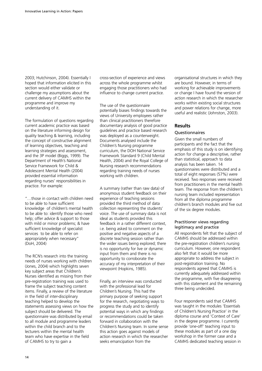2003; Hutchinson, 2004). Essentially I hoped that information elicited in this section would either validate or challenge my assumptions about the current delivery of CAMHS within the programme and improve my understanding of it.

The formulation of questions regarding current academic practice was based on the literature informing design for quality teaching & learning, including the concept of constructive alignment of learning objectives, teaching and learning strategies and assessment, and the 3P model (Biggs, 1999). The Department of Health's National Service Framework for Child & Adolescent Mental Health (2004) provided essential information regarding nurses' responsibilities in practice. For example:

"…those in contact with children need to be able to have sufficient knowledge of children's mental health to be able to: identify those who need help; offer advice & support to those with mild or minor problems; & have sufficient knowledge of specialist services to be able to refer on appropriately when necessary" (DoH, 2004)

The RCN's research into the training needs of nurses working with children (Jones, 2004) which highlights seven key subject areas that Children's Nurses identified as missing from their pre-registration training was used to frame the subject teaching content items. Finally, a review of the literature in the field of inter-disciplinary teaching helped to develop the statements assessing views on how the subject should be delivered. The questionnaire was distributed by email to all module and programme leaders within the child branch and to the lecturers within the mental health team who have expertise in the field of CAMHS to try to gain a

cross-section of experience and views across the whole programme whilst engaging those practitioners who had influence to change current practice.

The use of the questionnaire potentially biases findings towards the views of University employees rather than clinical practitioners therefore documentary analysis of good practice guidelines and practice based research was deployed as a counterweight. Documents analysed include the Children's Nursing programme curriculum, the DOH National Service Framework Standard 9 (Child Mental Health, 2004) and the Royal College of Nursing research recommendations regarding training needs of nurses working with children.

A summary (rather than raw data) of anonymous student feedback on their experience of teaching sessions provided the third method of data collection representing the students' voice. The use of summary data is not ideal as students provided this feedback in a rather different context, i.e. being asked to comment on the positive and negative aspects of a discrete teaching session rather than the wider issues being explored; there is no opportunity for live or dynamic input from them and there is no opportunity to corroborate the accuracy of my interpretation of their viewpoint (Hopkins, 1985).

Finally, an interview was conducted with the professional lead for Children's Nursing. This had the primary purpose of seeking support for the research, negotiating ways to progress the study and to identify potential ways in which any findings or recommendations could be taken forward in collaboration with the Children's Nursing team. In some sense this action goes against models of action research in which the researcher seeks emancipation from the

organisational structures in which they are bound. However, in terms of working for achievable improvements or change I have found the version of action research in which the researcher works within existing social structures and power relations for change, more useful and realistic (Johnston, 2003).

### **Results**

# Questionnaires

Given the small numbers of participants and the fact that the emphasis of this study is on identifying action for change a descriptive, rather than statistical, approach to data analysis has been taken. 14 questionnaires were distributed and a total of eight responses (57%) were received. Two responses were received from practitioners in the mental health team. The response from the children's nursing team included representation from all the diploma programme children's branch modules and five out of the six degree modules.

#### Practitioner views regarding legitimacy and practice

All respondents felt that the subject of CAMHS should be addressed within the pre-registration children's nursing curriculum. However, one respondent also felt that it would be more appropriate to address the subject in post-registration training. No respondents agreed that CAMHS is currently adequately addressed within the programme, with five disagreeing with this statement and the remaining three being undecided.

Four respondents said that CAMHS was taught in the modules 'Essentials of Children's Nursing Practice' in the diploma course and 'Context of Care' in the degree programme. I currently provide 'one-off' teaching input to these modules as part of a one day workshop in the former case and a CAMHS dedicated teaching session in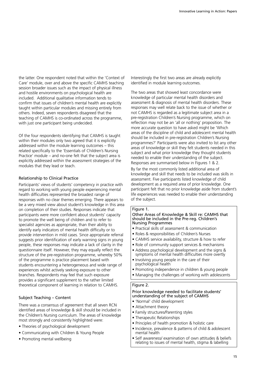the latter. One respondent noted that within the 'Context of Care' module, over and above the specific CAMHS teaching session broader issues such as the impact of physical illness and hostile environments on psychological health are included. Additional qualitative information tends to confirm that issues of children's mental health are explicitly taught within particular modules and missing entirely from others. Indeed, seven respondents disagreed that the teaching of CAMHS is co-ordinated across the programme, with just one participant being undecided.

Of the four respondents identifying that CAMHS is taught within their modules only two agreed that it is explicitly addressed within the module learning outcomes – this related specifically to the 'Essentials of Children's Nursing Practice' module – and no-one felt that the subject area is explicitly addressed within the assessment strategies of the modules that they lead or teach.

### Relationship to Clinical Practice

Participants' views of students' competency in practice with regard to working with young people experiencing mental health difficulties represented the broadest range of responses with no clear themes emerging. There appears to be a very mixed view about student's knowledge in this area on completion of their studies. Responses indicate that participants were more confident about students' capacity to promote the well being of children and to refer to specialist agencies as appropriate, than their ability to identify early indicators of mental health difficulty or to provide intervention in mild cases. Since appropriate referral suggests prior identification of early warning signs in young people, these responses may indicate a lack of clarity in the questionnaire itself. However, they may equally reflect the structure of the pre-registration programme, whereby 50% of the programme is practice placement based with students encountering a heterogeneous and wide range of experiences whilst actively seeking exposure to other branches. Respondents may feel that such exposure provides a significant supplement to the rather limited theoretical component of learning in relation to CAMHS.

### Subject Teaching – Content

There was a consensus of agreement that all seven RCN identified areas of knowledge & skill should be included in the Children's Nursing curriculum. The areas of knowledge most strongly and consistently highlighted were:

- Theories of psychological development
- Communicating with Children & Young People
- Promoting mental wellbeing

Interestingly the first two areas are already explicitly identified in module learning outcomes.

The two areas that showed least concordance were knowledge of particular mental health disorders and assessment & diagnosis of mental health disorders. These responses may well relate back to the issue of whether or not CAMHS is regarded as a legitimate subject area in a pre-registration Children's Nursing programme, which on reflection may not be an 'all or nothing' proposition. The more accurate question to have asked might be 'Which areas of the discipline of child and adolescent mental health should be included in pre-registration Children's Nursing programmes?' Participants were also invited to list any other areas of knowledge or skill they felt students needed in this subject and what prior knowledge they thought students needed to enable their understanding of the subject. Responses are summarised below in Figures 1 & 2.

By far the most commonly listed additional area of knowledge and skill that needs to be included was skills in assessment. Five participants listed knowledge of child development as a required area of prior knowledge. One participant felt that no prior knowledge aside from student's life experiences was needed to enable their understanding of the subject.

# Figure 1.

#### Other Areas of Knowledge & Skill re: CAMHS that should be included in the Pre-reg. Children's Nursing Programmes

- Practical skills of assessment & communication
- Roles & responsibilities of Children's Nurses
- CAMHS service availability, structure & how to refer
- Role of community support services & mechanisms
- Address psychological development and the signs & symptoms of mental health difficulties more overtly
- Involving young people in the care of their psychological health
- Promoting independence in children & young people
- Managing the challenges of working with adolescents

# Figure 2.

# Prior knowledge needed to facilitate students' understanding of the subject of CAMHS

- 'Normal' child development
- Attachment theory
- Family structures/Parenting styles
- Therapeutic Relationships
- Principles of health promotion & holistic care
- Incidence, prevalence & patterns of child & adolescent mental health
- Self awareness/ examination of own attitudes & beliefs relating to issues of mental health, stigma & labelling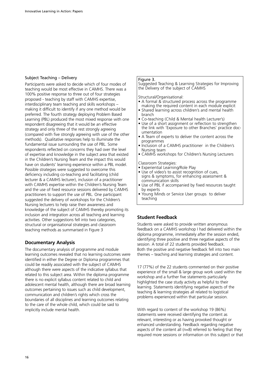#### Subject Teaching – Delivery

Participants were asked to decide which of four modes of teaching would be most effective in CAMHS. There was a 100% positive response to three out of four strategies proposed - teaching by staff with CAMHS expertise, interdisciplinary team teaching and skills workshops – making it difficult to identify if any one method would be preferred. The fourth strategy deploying Problem Based Learning (PBL) produced the most mixed response with one respondent disagreeing that it would be an effective strategy and only three of the rest strongly agreeing (compared with five strongly agreeing with use of the other methods). Qualitative responses help to illuminate the fundamental issue surrounding the use of PBL. Some respondents reflected on concerns they had over the level of expertise and knowledge in the subject area that existed in the Children's Nursing Team and the impact this would have on students' learning experience within a PBL model. Possible strategies were suggested to overcome this deficiency including co-teaching and facilitating (child lecturer & a CAMHS lecturer), inclusion of a practitioner with CAMHS expertise within the Children's Nursing Team and the use of fixed resource sessions delivered by CAMHS practitioners to support the use of PBL. One participant suggested the delivery of workshops for the Children's Nursing lecturers to help raise their awareness and knowledge of the subject of CAMHS thereby promoting its inclusion and integration across all teaching and learning activities. Other suggestions fell into two categories, structural or organisational strategies and classroom teaching methods as summarised in Figure 3

### **Documentary Analysis**

The documentary analysis of programme and module learning outcomes revealed that no learning outcomes were identified in either the Degree or Diploma programmes that could be readily associated with the subject of CAMHS although there were aspects of the indicative syllabus that related to this subject area. Within the diploma programme there is no explicit syllabus content related to child and adolescent mental health, although there are broad learning outcomes pertaining to issues such as child development, communication and children's rights which cross the boundaries of all disciplines and learning outcomes relating to the care of the whole child, which could be said to implicitly include mental health.

#### Figure 3.

Suggested Teaching & Learning Strategies for Improving the Delivery of the subject of CAMHS

Structural/Organisational:

- A formal & structured process across the programme making the required content in each module explicit
- Shared learning across children's and mental health branch
- Co-teaching (Child & Mental health Lecturer's)
- Use of a short assignment or reflection to strengthen the link with 'Exposure to other Branches' practice documentation
- A Team of experts to deliver the content across the programmes
- Inclusion of a CAMHS practitioner in the Children's Nursing team
- CAMHS workshops for Children's Nursing Lecturers

Classroom Strategies:

- Experiential Learning/Role Play
- Use of video's to assist recognition of cues. signs & symptoms, for enhancing assessment & communication skills
- Use of PBL if accompanied by fixed resources taught by experts
- Young Minds or Service User groups to deliver teaching

### **Student Feedback**

Students were asked to provide written anonymous feedback on a CAMHS workshop I had delivered within the diploma programme, immediately after the session ended, identifying three positive and three negative aspects of the session. A total of 22 students provided feedback. Both the positive and negative feedback fell into two main themes – teaching and learning strategies and content.

17 (77%) of the 22 students commented on their positive experience of the small & large group work used within the workshop and a further five statements particularly highlighted the case study activity as helpful to their learning. Statements identifying negative aspects of the teaching & learning strategies all related to logistical problems experienced within that particular session.

With regard to content of the workshop 19 (86%) statements were received identifying the content as relevant, interesting or as having provoked thought or enhanced understanding. Feedback regarding negative aspects of the content all (n=8) referred to feeling that they required more sessions or information on this subject or that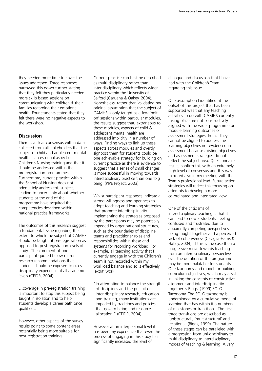they needed more time to cover the issues addressed. Three responses narrowed this down further stating that they felt they particularly needed more skills based sessions on communicating with children & their families regarding their emotional health. Four students stated that they felt there were no negative aspects to the workshop.

# **Discussion**

There is a clear consensus within data collected from all stakeholders that the subject of child and adolescent mental health is an essential aspect of Children's Nursing training and that it should be addressed within the pre-registration programmes. Furthermore, current practice within the School of Nursing does not adequately address this subject, leading to uncertainty about whether students at the end of the programme have acquired the competencies described within national practice frameworks.

The outcomes of this research suggest a fundamental issue regarding the extent to which the subject of CAMHS should be taught at pre-registration as opposed to post-registration levels of study. The comment of one participant quoted below mirrors research recommendations that students should be exposed to cross disciplinary experience at all academic levels (CFIDR, 2004):

…coverage in pre-registration training is important to stop this subject being taught in isolation and to help students develop a career path once qualified…

However, other aspects of the survey results point to some content areas potentially being more suitable for post-registration training.

Current practice can best be described as multi-disciplinary rather than inter-disciplinary which reflects wider practice within the University of Salford (Caruana & Oakey, 2004). Nonetheless, rather than validating my original assumption that the subject of CAMHS is only taught as a few 'bolt on' sessions within particular modules, the results suggest that, extraneous to these modules, aspects of child & adolescent mental health are addressed implicitly in a number of ways. Finding ways to link up these aspects across modules and overtly signpost them for students could be one achievable strategy for building on current practice as there is evidence to suggest that a series of small changes is more successful in moving towards interdisciplinary practice than one 'big bang' (PIPE Project, 2003).

Whilst participant responses indicate a strong willingness and openness to adopt teaching and learning strategies that promote interdisciplinarity, implementing the strategies proposed by the participants may be potentially impeded by organisational structures, such as the boundaries of discipline teams and practitioner roles and responsibilities within these and systems for recording workload. For example, all teaching activity that I currently engage in with the Children's Team is not recorded within my workload balance and so is effectively 'extra' work.

"In attempting to balance the strength of disciplines and the pursuit of inter-disciplinary research, education and training, many institutions are impeded by traditions and policies that govern hiring and resource allocation." (CFIDR, 2004)

However at an interpersonal level it has been my experience that even the process of engaging in this study has significantly increased the level of

dialogue and discussion that I have had with the Children's Team regarding this issue.

One assumption I identified at the outset of this project that has been supported was that any teaching activities to do with CAMHS currently taking place are not constructively aligned with the wider programme or module learning outcomes or assessment strategies. In fact they cannot be aligned to address the learning objectives nor evidenced in assessment because existing objectives and assessment strategies do not reflect the subject area. Questionnaire results confirm this with an extremely high level of consensus and this was mirrored also in my meeting with the Team's professional lead. Future action strategies will reflect this focusing on attempts to develop a more co-ordinated and integrated view.

One of the criticisms of inter-disciplinary teaching is that it can lead to newer students feeling confused and frustrated due to apparently competing perspectives being taught together and a perceived lack of cohesiveness (Caviglia-Harris & Hatley, 2004). If this is the case then a progressive move towards teaching from an interdisciplinary perspective over the duration of the programme may be more palatable for students. One taxonomy and model for building curriculum objectives, which may assist in linking the concepts of constructive alignment and interdisciplinarity together is Biggs' (1999) SOLO Taxonomy. The SOLO taxonomy is underpinned by a cumulative model of learning that has within it a numbers of milestones or transitions. The first three transitions are described as 'unistructural', 'multistructural' and 'relational' (Biggs, 1999). The nature of these stages can be paralleled with a progression from uni-disciplinary to multi-disciplinary to interdisciplinary modes of teaching & learning. A very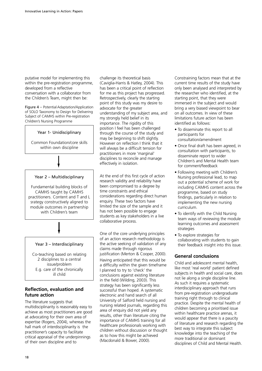putative model for implementing this within the pre-registration programme, developed from a reflective conversation with a collaborator from the Children's Team, might then be:

Figure 4 – Potential Adaptation/Application of SOLO Taxonomy to Design for Delivering Subject of CAMHS within Pre-registration Children's Nursing Programme

### Year 1- Unidisciplinary

Common Foundation/core skills within own discipline

#### Year 2 – Multidisciplinary

Fundamental building blocks of CAMHS taught by CAMHS practitioners. Content and T and L srategy constructively aligned to module outcomes in partnership with Children's team

#### Year 3 – Interdisciplinary

Co-teaching based on relating 2 disciplines to a central issue/problem E.g. care of the chronically ill child

# **Reflection, evaluation and future action**

The literature suggests that multidisciplinarity is reasonably easy to achieve as most practitioners are good at advocating for their own area of expertise (Rogers, 2004), whereas the hall mark of interdisciplinarity is the practitioner's capacity to facilitate critical appraisal of the underpinnings of their own discipline and to

challenge its theoretical basis (Caviglia-Harris & Hatley, 2004). This has been a critical point of reflection for me as this project has progressed. Retrospectively, clearly the starting point of this study was my desire to advocate for the greater understanding of my subject area, and my strongly held belief in its importance. The rigidity of this position I feel has been challenged through the course of the study and may be beginning to shift slightly. However on reflection I think that it will always be a difficult tension for practitioners in more 'marginal' disciplines to reconcile and manage effectively in isolation.

At the end of this first cycle of action research validity and reliability have been compromised to a degree by time constraints and ethical considerations regarding direct human enquiry. These two factors have limited the size of the sample and it has not been possible to engage students as key stakeholders in a live collaborative process.

One of the core underlying principles of an action research methodology is the active seeking of validation of any claims made through rigorous justification (Merton & Cooper, 2000).

Having anticipated that this would be a difficulty within the given timeframe I planned to try to 'check' the conclusions against existing literature in the field (Wilding, 2003). This strategy has been significantly less successful than hoped. A systematic electronic and hand search of all University of Salford held nursing and nursing related journals, regarding this area of enquiry did not yield any results, other than literature citing the importance of CAMHS training for all healthcare professionals working with children without discussion or thought as to how this might be achieved (Macdonald & Bower, 2000).

Constraining factors mean that at the current time results of the study have only been analysed and interpreted by the researcher who identified, at the starting point, that they were immersed in the subject and would bring a very biased viewpoint to bear on all outcomes. In view of these limitations future action has been identified as follows:

- To disseminate this report to all participants for consultation/amendment
- Once final draft has been agreed, in consultation with participants, to disseminate report to wider Children's and Mental Health team for comment/feedback
- Following meeting with Children's Nursing professional lead, to map out a potential scheme of work for including CAMHS content across the programme, based on study findings, particularly in relation to implementing the new nursing curriculum.
- To identify with the Child Nursing team ways of reviewing the module learning outcomes and assessment strategies
- To explore strategies for collaborating with students to gain their feedback insight into this issue.

### **General conclusions**

Child and adolescent mental health, like most 'real world' patient defined subjects in health and social care, does not lie along a single discipline line. As such it requires a systematic interdisciplinary approach that runs from pre-registration undergraduate training right through to clinical practice. Despite the mental health of children becoming a prioritised issue within healthcare practice arenas, it would appear that there is a paucity of literature and research regarding the best way to integrate this subject knowledge into the teaching of the more traditional or dominant disciplines of Child and Mental Health.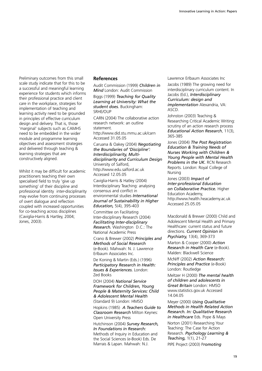Preliminary outcomes from this small scale study indicate that for this to be a successful and meaningful learning experience for students which informs their professional practice and client care in the workplace, strategies for implementation of teaching and learning activity need to be grounded in principles of effective curriculum design and delivery. That is, those 'marginal' subjects such as CAMHS need to be embedded in the wider module and programme learning objectives and assessment strategies and delivered through teaching & learning strategies that are constructively aligned.

Whilst it may be difficult for academic practitioners teaching their own specialised field to truly 'give up something' of their discipline and professional identity inter-disciplinarity may evolve from continuing processes of overt dialogue and reflection coupled with increased opportunities for co-teaching across disciplines (Caviglia-Harris & Hartley, 2004; Jones, 2003).

#### **References**

Audit Commission (1999) *Children in Mind* London: Audit Commission

Biggs (1999) *Teaching for Quality Learning at University: What the student does.* Buckingham: SRHE/OUP

CARN (2004) The collaborative action research network: an outline statement.

http://www.did.stu.mmu.ac.uk/carn Accessed 31.05.05

Caruana & Oakey (2004) *Negotiating the Boundaries of 'Discipline': Interdisciplinarity, Multidisciplinarity and Curriculum Design* University of Salford, http://www.edu.salford.ac.uk Accessed 12.05.05

Caviglia-Harris & Hatley (2004) Interdisciplinary Teaching: analysing consensus and conflict in environmental studies *International Journal of Sustainability in Higher Education,* 5(4), 395-403

Committee on Facilitating Inter-disciplinary Research (2004) *Facilitating Inter-disciplinary Research.* Washington D.C.: The National Academic Press

Crano & Brewer (2002) *Principles and Methods of Social Research* (e-Book). Mahwah: N. J. Lawrence Erlbaum Associates Inc.

De Koning & Martin (Eds.) (1996) *Participatory Research in Health: Issues & Experiences.* London: Zed Books

DOH (2004) *National Service Framework for Children, Young People & Maternity Services: Child & Adolescent Mental Health* (Standard 9) London: HMSO

Hopkins (1985) *A Teachers Guide to Classroom Research* Milton Keynes: Open University Press

Hutchinson (2004) *Survey Research, In Foundations in Research:* Methods of Inquiry in Education and the Social Sciences (e-Book) Eds. De Marrais & Lapan. Mahwah: N.J.

Lawrence Erlbaum Associates Inc Jacobs (1989) The growing need for interdisciplinary curriculum content. In Jacobs (Ed.), *Interdisciplinary Curriculum: design and implementation* Alexandria, VA: ASCD.

Johnston (2003) Teaching & Researching Critical Academic Writing: scrutiny of an action research process *Educational Action Research*, 11(3), 365-385

Jones (2004) *The Post Registration Education & Training Needs of Nurses Working with Children & Young People with Mental Health Problems in the UK.* RCN Research Reports. London: Royal College of Nursing

Jones (2003) *Impact of Inter-professional Education on Collaborative Practice.* Higher Education Academy, http://www.health.heacademy.ac.uk Accessed 25.05.05

Macdonald & Brewer (2000) Child and Adolescent Mental Health and Primary Healthcare: current status and future directions. *Current Opinion in Psychiatry,* 13(4), 369-373

Marton & Cooper (2000) *Action Research in Health Care* (e-Book). Malden: Blackwell Science

McNiff (2002) *Action Research: Principles and Practice* (e-Book) London: Routledge

Meltzer H (2000) *The mental health of children and adolescents in Great Britain* London: HMSO www.statistics.gov.uk Accessed 14.04.05

Meyer (2000) *Using Qualitative Methods in Health Related Action Research. In: Qualitative Research in Healthcare* Eds. Pope & Mays

Norton (2001) Researching Your Teaching: The Case for Action Research. *Psychology Learning & Teaching,* 1(1), 21-27 PIPE Project (2003) P*romoting*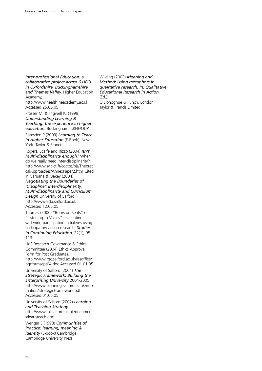*Inter-professional Education: a collaborative project across 6 HEI's in Oxfordshire, Buckinghamshire and Thames Valley.* Higher Education

Academy, http://www.health.heacademy.ac.uk Accessed 25.05.05

Prosser M, & Trigwell K, (1999) *Understanding Learning & Teaching: the experience in higher education.* Buckingham: SRHE/OUP

Ramsden P (2003) *Learning to Teach in Higher Education* (E-Book). New York: Taylor & Francis

Rogers, Scaife and Rizzo (2004) *Isn't Multi-disciplinarity enough?* When do we really need inter-disciplinarity? http://www.sv.cict.fr/coctos/pjs/Theoreti calApproaches/AnnexPaper2.htm Cited in Caruana & Oakey (2004)

*Negotiating the Boundaries of 'Discipline': Interdisciplinarity, Multi-disciplinarity and Curriculum Design* University of Salford, http://www.edu.salford.ac.uk Accessed 12.05.05

Thomas (2000) "Bums on Seats" or "Listening to Voices": evaluating widening participation initiatives using participatory action research. *Studies in Continuing Education,* 22(1), 95- 113

UoS Research Governance & Ethics Committee (2004) Ethics Approval Form for Post Graduates. http://www.rgc.salford.ac.uk/resoffice/ pgrformsept04.doc Accessed 01.01.05

University of Salford (2004) *The Strategic Framework: Building the Enterprising University* 2004-2005 http://www.planning.salford.ac.uk/infor mation/StrategicFramework.pdf Accessed 01.05.05

University of Salford (2002) *Learning and Teaching Strategy* http://www.tal.salford.ac.uk/document s/learnteach.doc

Wenger E (1998) *Communities of Practice: learning, meaning & identity* (E-book) Cambridge: Cambridge University Press

Wilding (2003) *Meaning and Method: Using metaphors in qualitative research. In: Qualitative Educational Research in Action.* (Ed.) O'Donoghue & Punch. London: Taylor & Francis Limited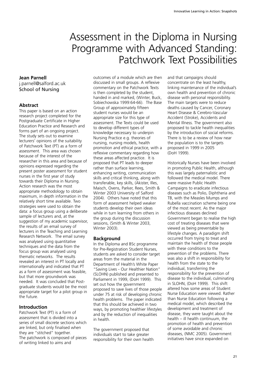# Assessment in the Diploma in Nursing Programme with Advanced Standing: Patchwork Text Possibilities

# **Jean Parnell**

j.parnell@salford.ac.uk School of Nursing

# **Abstract**

This paper is based on an action research project completed for the Postgraduate Certificate in Higher Education Practice and Research and forms part of an ongoing project. The study sets out to examine lecturers' opinions of the suitability of Patchwork Text (PT) as a form of assessment. This area was chosen because of the interest of the researcher in this area and because of opinions expressed regarding the present poster assessment for student nurses in the first year of study towards their Diploma in Nursing. Action research was the most appropriate methodology to obtain maximum, in depth information in the relatively short time available. Two strategies were used to obtain the data: a focus group using a deliberate sample of lecturers and, at the suggestion of my academic supervisor, the results of an email survey of lecturers in the Teaching and Learning Research Network. The email survey was analysed using quantitative techniques and the data from the focus group was analysed using thematic networks. The results revealed an interest in PT locally and internationally and indicated that PT as a form of assessment was feasible, but that more groundwork was needed. It was concluded that Postgraduate students would be the most appropriate target for a pilot group in the future.

# **Introduction**

Patchwork Text (PT) is a form of assessment that is divided into a series of small discrete sections which are linked, but only finalised when they are "stitched" together. The patchwork is composed of pieces of writing linked to aims and

outcomes of a module which are then discussed in small groups. A reflexive commentary on the Patchwork Texts is then completed by the student, handed in and marked, (Winter, Buck, Sobiechowska 1999:64-66). The Base Group of approximately fifteen student nurses would be an appropriate size for this type of assessment. The Texts could be used to develop different types of knowledge necessary to underpin Nursing Practice e.g. theories of nursing, nursing models, health promotion and ethical practice, with a reflexive commentary regarding how these areas affected practice. It is proposed that PT leads to deeper rather than surface learning, enhancing writing, communication skills and critical thinking, along with transferable, key skills, (Akister, Illes, Maisch, Ovens, Parker, Rees, Smith & Winter 2003 University of Salford 2004). Others have noted that this form of assessment helped weaker students develop their own ideas while in turn learning from others in the group during the discussion sessions, (Smith & Winter 2003, Winter 2003).

# **Background**

In the Diploma and BSc programme for Pre-Registration Student Nurses, students are asked to consider target areas from the material in the Department of Health's White Paper "Saving Lives - Our Healthier Nation" (SLOHN) published and presented to Parliament in 1999, (DoH 1999). This set out how the government proposed to save lives of those people under 75 at risk of developing chronic health problems. The paper indicated that this should be achieved in two ways, by promoting healthier lifestyles and by the reduction of inequalities in health.

The government proposed that individuals start to take greater responsibility for their own health and that campaigns should concentrate on the least healthy, linking maintenance of the individual's own health and prevention of chronic disease with personal responsibility. The main targets were to reduce deaths caused by Cancer, Coronary Heart Disease & Cerebro-Vascular Accident (Stroke), Accidents and Mental Illness. The government also proposed to tackle health inequalities by the introduction of social reforms. There is to be a review of how near the population is to the targets proposed in 1999 in 2005 (DoH 1999).

Historically Nurses have been involved in promoting Public Health, although this was largely paternalistic and followed the medical model. There were massive Public Health Campaigns to eradicate infectious diseases such as Polio, Diphtheria and TB, with the Measles Mumps and Rubella vaccination scheme being one of the most recent. As the major infectious diseases declined Government began to realise the high cost of treating diseases that were viewed as being preventable by lifestyle changes. A paradigm shift occurred from trying to treat and maintain the health of those people with these conditions to the prevention of the problems. There was also a shift in responsibility for health from the state to the individual, transferring the responsibility for the prevention of disease to the individual, culminating in SLOHN, (DoH 1999). This shift altered how some areas of Student Nurse Education were viewed. Rather than Nurse Education following a medical model, which described the development and treatment of disease, they were taught about the health – ill health continuum, the promotion of health and prevention of some avoidable and chronic diseases, (NMC 2005). Government initiatives have since expanded on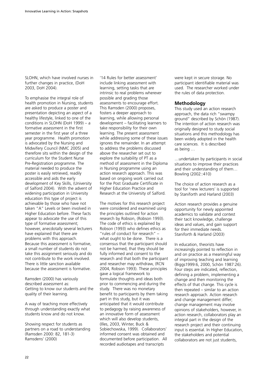SLOHN, which have involved nurses in further changes in practice, (DoH 2003, DoH 2004).

To emphasise the integral role of health promotion in Nursing, students are asked to produce a poster and presentation depicting an aspect of a healthy lifestyle, linked to one of the conditions in SLOHN (DoH 1999) – a formative assessment in the first semester in the first year of a three year programme. Health promotion is advocated by the Nursing and Midwifery Council (NMC 2005) and therefore sits within the design of the curriculum for the Student Nurse Pre-Registration programme. The material needed to produce the poster is easily retrieved, readily accessible and aids the early development of Key Skills, (University of Salford 2004). With the advent of widening participation in University education this type of project is achievable by those who have not taken "A" Levels or been involved in Higher Education before. These facts appear to advocate the use of this type of formative assessment; however, anecdotally several lecturers have explained that there are problems with this approach. Because this assessment is formative, a small number of students do not take this assignment seriously and do not contribute to the work involved. There is little sanction available because the assessment is formative.

Ramsden (2000) has variously described assessment as: Getting to know our students and the quality of their learning.

A way of teaching more effectively through understanding exactly what students know and do not know.

Showing respect for students as partners on a road to understanding (Ramsden 2000: 82, 181-3) Ramsdens' (2000)

'14 Rules for better assessment' include linking assessment with learning, setting tasks that are intrinsic to real problems wherever possible and grading those assessments to encourage effort. This Ramsden (2000) proposes, fosters a deeper approach to learning, while allowing personal development – facilitating learners to take responsibility for their own learning. The present assessment while addressing some of these issues ignores the remainder. In an attempt to address the problems discussed above the researcher set out to explore the suitability of PT as a method of assessment in the Diploma in Nursing programme using an action research approach. This was based on ongoing work carried out for the Post Graduate Certificate in Higher Education Practice and Research at the University of Salford.

The motives for this research project were considered and examined using the principles outlined for action research by Robson, (Robson 1993). The code of ethics is explained by Robson (1993) who defines ethics as "rules of conduct for research" – what ought to be done. There is a consensus that the participant should not be harmed, that they should be fully informed and consent to the research and that both the participant and researcher may withdraw, (RCN 2004, Robson 1993). These principles gave a logical framework to formulate thoughts and ideas both prior to commencing and during the study. There was no monetary benefit to participants by them taking part in this study, but it was anticipated that it would contribute to pedagogy by raising awareness of an innovative form of assessment which will also develop students, (Illes, 2003, Winter, Buck & Sobiechowska, 1999). Collaborators' informed consent was obtained and documented before participation. All recorded audiotapes and transcripts

were kept in secure storage. No participant identifiable material was used. The researcher worked under the rules of data protection.

#### **Methodology**

This study used an action research approach, the data rich "swampy ground" described by Schön (1987). The intention of action research was originally designed to study social situations and this methodology has been widely adopted in the health care sciences. It is described as being …

…undertaken by participants in social situations to improve their practices and their understanding of them… Bowling (2002::410)

The choice of action research as a tool for 'new lecturers' is supported by Staniforth and Harland (2003)

Action research provides a genuine opportunity for newly appointed academics to validate and contest their tacit knowledge, challenge ideas and values, and gain support for their immediate needs. Staniforth & Harland (2003)

In education, theorists have increasingly pointed to reflection in and on practice as a meaningful way of improving teaching and learning (Biggs1999:6, 2000, Schön 1987:26). Four steps are indicated, reflection, defining a problem, implementing a change and then monitoring the effects of that change. This cycle is then repeated – similar to an action research approach. Action research and change management differ; change management may involve opinions of stakeholders, however, in action research, collaborators play an integral part in the design of the research project and their continuing input is essential. In Higher Education, the stakeholders and potential collaborators are not just students,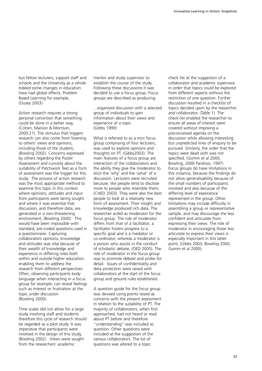but fellow lecturers, support staff and schools and the University as a whole. Indeed some changes in education have had global effects, Problem Based Learning for example, (Ousey 2003).

Action research requires a strong personal conviction that something could be done in a better way, (Cohen, Manion & Morrison, 2000:21). The stimulus that triggers research can also come from listening to others' views and opinions, including those of the student, (Bowling 2002). Concerns expressed by others regarding the Poster Assessment and curiosity about the suitability of Patchwork Text as a form of assessment was the trigger for this study. The process of action research was the most appropriate method to examine this topic in this context where opinions, attitudes and input from participants were being sought and where it was essential that discussion, and therefore data, are generated in a non-threatening environment, (Bowling 2000). This would have been impossible with standard, pre-coded questions used in a questionnaire. Capturing collaborators opinions, knowledge and attitudes was vital because of their wealth of knowledge and experience in differing roles both within and outside higher education, enabling them to address the research from different perspectives. Often, observing participants body language when interacting in a focus group for example, can reveal feelings such as interest or frustration at the topic under discussion (Bowling 2000).

Time scales did not allow for a large study involving staff and students therefore this cycle of research should be regarded as a pilot study. It was imperative that participants were involved in the design of this study, (Bowling 2002). Views were sought from the researchers' academic

mentor and study supervisor to establish the course of the study. Following these discussions it was decided to use a focus group. Focus groups are described as producing:

...organised discussion with a selected group of individuals to gain information about their views and experience of a topic. (Gibbs 1999)

What is referred to as a mini focus group comprising of four lecturers, was used to explore opinions and thoughts on PT, (Gibbs2003). The main features of a focus group are interaction of the collaborators and the ability they give the moderator to elicit the 'why' and the 'what' of a discussion. Lecturers were recruited because, like people tend to disclose more to people who resemble them, (CHED 2003). They were also the best people to look at a relatively new form of assessment. Their insight and knowledge produced rich data. The researcher acted as moderator for the focus group. The role of moderator differs from that of a facilitator; a facilitator fosters progress to a specific goal and is a mediator or co-ordinator, whereas a moderator is a person who assists in the conduct of scholastic debate, (OED 2005). The role of moderator in the focus group was to promote debate and probe for detail. Issues of confidentiality and data protection were raised with collaborators at the start of the focus group and ground rules established.

A question guide for the focus group was devised using points raised as concerns with the present assessment in relation to the suitability of PT. The majority of collaborators, when first approached, had not heard or read about PT before and therefore "understanding" was included as question. Other questions were included at the suggestion of the various collaborators. The list of questions was altered to a topic

check list at the suggestion of a collaborator and academic supervisor, in order that topics could be explored from different aspects without the restriction of one question. Further discussion resulted in a checklist of topics decided upon by the researcher and collaborator, (Table 1). The check-list enabled the researcher to ensure all areas of interest were covered without imposing a preconceived agenda on the discussion while allowing interesting but unpredicted lines of enquiry to be pursued. Similarly, the order that the topics were dealt with was not specified, (Gomm et al 2000, Bowling, 2000 Parahoo, 1997). Focus groups do have limitations in this instance, because the findings do not allow generalisability because of the small numbers of participants involved and also because of the differing level of experience represented in the group. Other limitations may include difficulty in assembling a group or representative sample, and may discourage the less confident and articulate from expressing their views. The role of moderator in encouraging those less articulate to express their views is especially important in this latter point, (Gibbs 2003, Bowling 2000, Gomm et al 2000).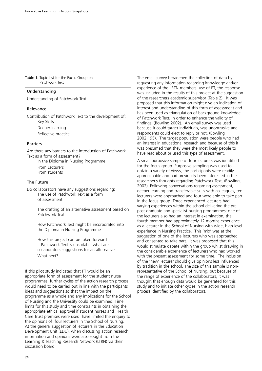Table 1: Topic List for the Focus Group on Patchwork Text

 $\vert$  Understanding

|                                                                                                                                                 | was included in the results of this project at the s                                                                                                                                                                                                                                                                                                 |
|-------------------------------------------------------------------------------------------------------------------------------------------------|------------------------------------------------------------------------------------------------------------------------------------------------------------------------------------------------------------------------------------------------------------------------------------------------------------------------------------------------------|
| Understanding of Patchwork Text                                                                                                                 | of the researchers academic supervisor (Table 2).<br>proposed that this information might give an ind                                                                                                                                                                                                                                                |
| Relevance                                                                                                                                       | interest and understanding of this form of assess                                                                                                                                                                                                                                                                                                    |
| Contribution of Patchwork Text to the development of:<br>Key Skills                                                                             | has been used as triangulation of background kn<br>of Patchwork Text; in order to enhance the validi<br>findings, (Bowling 2002). An email survey was u                                                                                                                                                                                              |
| Deeper learning                                                                                                                                 | because it could target individuals, was unobtrus                                                                                                                                                                                                                                                                                                    |
| Reflective practice                                                                                                                             | respondents could elect to reply or not, (Bowling<br>2002:195). The target population were people v                                                                                                                                                                                                                                                  |
| <b>Barriers</b>                                                                                                                                 | an interest in educational research and because o                                                                                                                                                                                                                                                                                                    |
| Are there any barriers to the introduction of Patchwork<br>Text as a form of assessment?                                                        | was presumed that they were the most likely pec<br>have read about or used this type of assessment.                                                                                                                                                                                                                                                  |
| In the Diploma in Nursing Programme                                                                                                             | A small purposive sample of four lecturers was identified.                                                                                                                                                                                                                                                                                           |
| From Lecturers<br>From students                                                                                                                 | for the focus group. Purposive sampling was use<br>obtain a variety of views, the participants were re<br>approachable and had previously been interested                                                                                                                                                                                            |
| The Future                                                                                                                                      | researcher's thoughts regarding Patchwork Text,                                                                                                                                                                                                                                                                                                      |
| Do collaborators have any suggestions regarding:<br>The use of Patchwork Text as a form<br>of assessment                                        | 2002). Following conversations regarding assessn<br>deeper learning and transferable skills with collea<br>lecturers were approached and four were able to<br>in the focus group. Three experienced lecturers h                                                                                                                                      |
| The drafting of an alternative assessment based on<br>Patchwork Text                                                                            | varying experiences within the school delivering t<br>post-graduate and specialist nursing programmes<br>the lecturers also had an interest in examination,                                                                                                                                                                                          |
| How Patchwork Text might be incorporated into<br>the Diploma in Nursing Programme                                                               | fourth member had approximately 12 months ex<br>as a lecturer in the School of Nursing with wide,<br>experience in Nursing Practice. This 'mix' was at                                                                                                                                                                                               |
| How this project can be taken forward<br>If Patchwork Text is unsuitable what are<br>collaborators suggestions for an alternative<br>What next? | suggestion of one of the lecturers who was appr<br>and consented to take part. It was proposed tha<br>would stimulate debate within the group whilst<br>the considerable experience of lecturers who hac<br>with the present assessment for some time. The<br>المزارع وجاري والمراجل والمراري والراريح والمرود والمتحارب الرازيون والمراوية للمراوية |

If this pilot study indicated that PT would be an appropriate form of assessment for the student nurse programmes, further cycles of the action research process would need to be carried out in line with the participants ideas and suggestions so that the impact on the programme as a whole and any implications for the School of Nursing and the University could be examined. Time limits for this study and time constraints in obtaining the appropriate ethical approval if student nurses and Health Care Trust premises were used have limited the enquiry to the opinions of four lecturers in the School of Nursing. At the general suggestion of lecturers in the Education Development Unit (EDU), when discussing action research, information and opinions were also sought from the Learning & Teaching Research Network (LTRN) via their discussion board.

The email survey broadened the collection of data by requesting any information regarding knowledge and/or experience of the LRTN members' use of PT, the response results of this project at the suggestion cademic supervisor (Table 2). It was nformation might give an indication of anding of this form of assessment and angulation of background knowledge n order to enhance the validity of (002). An email survey was used get individuals, was unobtrusive and respondent condents and the replicance to reply or not, (Bowling aet population were people who had tional research and because of this it they were the most likely people to

mple of four lecturers was identified Purposive sampling was used to iews, the participants were readily ad previously been interested in the ts regarding Patchwork Text, (Bowling, nversations regarding assessment, transferable skills with colleagues, ten lecture and four were able to take part Three experienced lecturers had within the school delivering the pre, pecialist nursing programmes; one of d an interest in examination, the approximately 12 months experience ichool of Nursing with wide, high level ig Practice. This 'mix' was at the f the lecturers who was approached ke part. It was proposed that this bate within the group whilst drawing in berience of lecturers who had worked sessment for some time. The inclusion of the 'new' lecturer should give opinions less influenced by tradition in the school. The size of this sample is nonrepresentative of the School of Nursing, but because of the range of experience of the collaborators, it was thought that enough data would be generated for this study and to initiate other cycles in the action research process identified by the collaborators.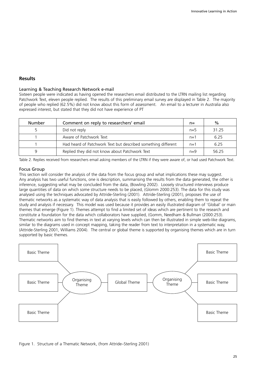# **Results**

### Learning & Teaching Research Network e-mail

Sixteen people were indicated as having opened the researchers email distributed to the LTRN mailing list regarding Patchwork Text, eleven people replied. The results of this preliminary email survey are displayed in Table 2. The majority of people who replied (62.5%) did not know about this form of assessment. An email to a lecturer in Australia also expressed interest, but stated that they did not have experience of PT

| <b>Number</b> | Comment on reply to researchers' email                        |       | $\%$  |
|---------------|---------------------------------------------------------------|-------|-------|
|               | Did not reply                                                 | $n=5$ | 31.25 |
|               | Aware of Patchwork Text                                       | $n=1$ | 6.25  |
|               | Had heard of Patchwork Text but described something different | $n=1$ | 6.25  |
|               | Replied they did not know about Patchwork Text                | $n=9$ | 56.25 |

Table 2. Replies received from researchers email asking members of the LTRN if they were aware of, or had used Patchwork Text.

#### Focus Group

This section will consider the analysis of the data from the focus group and what implications these may suggest. Any analysis has two useful functions, one is description, summarising the results from the data generated, the other is inference, suggesting what may be concluded from the data, (Bowling 2002). Loosely structured interviews produce large quantities of data on which some structure needs to be placed, (Glomm 2000:253). The data for this study was analysed using the techniques advocated by Attride-Sterling (2001). Attride-Sterling (2001), proposes the use of thematic networks as a systematic way of data analysis that is easily followed by others, enabling them to repeat the study and analysis if necessary. This model was used because it provides an easily illustrated diagram of 'Global' or main themes that emerge (Figure 1). Themes attempt to find a limited set of ideas which are pertinent to the research and constitute a foundation for the data which collaborators have supplied, (Gomm, Needham & Bullman (2000:253). Thematic networks aim to find themes in text at varying levels which can then be illustrated in simple web-like diagrams, similar to the diagrams used in concept mapping, taking the reader from text to interpretation in a systematic way, (Attride-Sterling 2001, Williams 2004). The central or global theme is supported by organising themes which are in turn supported by basic themes.



Figure 1. Structure of a Thematic Network, (from Attride–Sterling 2001)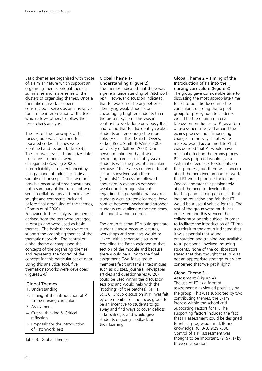Basic themes are organised with those of a similar nature which support an organising theme. Global themes summarise and make sense of the clusters of organising themes. Once a thematic network has been constructed it serves as an illustrative tool in the interpretation of the text which allows others to follow the researcher's analysis.

The text of the transcripts of the focus group was examined for repeated codes. Themes were identified and recorded, (Table 3). The text was revisited three days later to ensure no themes were disregarded (Bowling 2000). Inter-reliability can be enhanced by using a panel of judges to code a sample of transcripts. This was not possible because of time constraints, but a summary of the transcript was sent to collaborators and their views sought and comments included before final organising of the themes, (Gomm et al 2000). Following further analysis the themes derived from the text were arranged in groups and were used as basic

themes. The basic themes were to support the organising themes of the thematic network. The central or global theme encompassed the concepts of the organising themes and represents the "core" of the concept for this particular set of data. Using this analytical tool, five thematic networks were developed (Figures 2-6)

# Global Themes

- 1. Understanding
- 2. Timing of the introduction of PT to the nursing curriculum
- 3. Assessment
- 4. Critical thinking & Critical reflection
- 5. Proposals for the Introduction of Patchwork Text

Table 3. Global Themes

#### Global Theme 1- Understanding (Figure 2)

The themes indicated that there was a general understanding of Patchwork Text. However discussion indicated that PT would not be any better at identifying weak students or encouraging brighter students than the present system. This was in contrast to work done previously that had found that PT did identify weaker students and encourage the more able, (Akister, Illes, Maisch, Ovens, Parker, Rees, Smith & Winter 2003 University of Salford 2004). One person mentioned that it was becoming harder to identify weak students with the present curriculum because: "there are so many different lecturers involved with them (students)". Discussion followed about group dynamics between weaker and stronger students regarding the possibility that weaker students were strategic learners; how conflict between weaker and stronger students could alienate the two types of student within a group.

The group felt that PT would generate student interest because lectures, workshops and seminars would be linked with a separate discussion regarding the Patch assigned to that section of the module and because there would be a link to the final assignment. Two focus group members felt that familiar techniques such as quizzes, journals, newspaper articles and questionnaires (6:20) could be used within the discussion sessions and would help with the 'stitching' (of the patches), (4:14, 5:13). Group discussion in PT was felt by one member of the focus group to be an incentive to students to go away and find ways to cover deficits in knowledge, and would give students ongoing feedback on their learning.

Global Theme 2 – Timing of the Introduction of PT into the nursing curriculum (Figure 3) The group gave considerable time to discussing the most appropriate time for PT to be introduced into the curriculum, deciding that a pilot group for post-graduate students would be the optimum arena. Discussion on the use of PT as a form of assessment revolved around the exams process and if impending changes in the way scripts were marked would accommodate PT. It was decided that PT would have minimal effect on the exams process. PT it was proposed would give a systematic feedback to students on their progress, but there was concern about the perceived amount of work that PT would produce for lecturers. One collaborator felt passionately about the need to develop the teaching and learning of critical thinking and reflection and felt that PT would be a useful vehicle for this. The rest of the group were much less interested and this silenced the collaborator on this subject. In order to facilitate the introduction of PT into a curriculum the group indicated that it was essential that sound preparation and training was available to all personnel involved including students. None of the collaborators stated that they thought that PT was not an appropriate strategy, but were concerned that 'we get it right'.

#### Global Theme 3 –

Assessment (Figure 4) The use of PT as a form of assessment was viewed positively by the group. This was supported by two contributing themes, the Exam Process within the school and Supporting Factors for PT. The supporting factors included the fact that PT assessment could be designed to reflect progression in skills and knowledge, (8: 3-8, 9:29 -30). Control of a PT assessment was thought to be important, (9: 9-11) by three collaborators.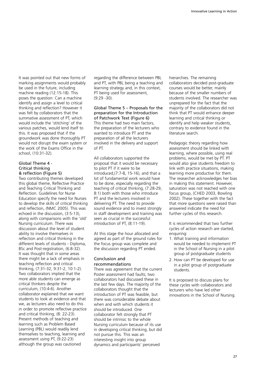It was pointed out that new forms of marking assignments would probably be used in the future, including machine reading (12:15-18). This poses the question: Can a machine identify and assign a level to critical thinking and reflection? However it was felt by collaborators that the summative assessment of PT, which would include the 'stitching' of the various patches, would lend itself to this. It was proposed that if the groundwork was done thoroughly PT would not disrupt the exam system or the work of the Exams Office in the school, (10:31-32).

#### Global Theme 4 - Critical thinking & reflection (Figure 5)

Two contributing themes developed this global theme, Reflective Practice and Teaching Critical Thinking and Reflection. Guidelines for Nurse Education specify the need for Nurses to develop the skills of critical thinking and reflection, (NMC 2005). This was echoed in the discussion, (3:5-13), along with comparisons with the 'old' Nursing curriculum. There was discussion about the level of student ability to involve themselves in reflection and critical thinking in the different levels of students - Diploma, BSc and Post-registration, (6:8-32). It was thought that in some areas there might be a lack of emphasis in teaching reflection and critical thinking, (7:31-32, 9:31-2, 10:1-2). Two collaborators implied that the more able students can emerge as critical thinkers despite the curriculum, (10:4-6). Another collaborator explained that we want students to look at evidence and that we, as lecturers also need to do this in order to promote reflective practice and critical thinking, (8: 22-23). Present methods of teaching and learning such as Problem Based Learning (PBL) would readily lend themselves to teaching, learning and assessment using PT, (9:22-23) although the group was cautioned

regarding the difference between PBL and PT, with PBL being a teaching and learning strategy and, in this context, PT being used for assessment, (9:29 -30).

#### Global Theme 5 – Proposals for the preparation for the Introduction of Patchwork Text (Figure 6) This theme had two main factors, the preparation of the lecturers who wanted to introduce PT and the preparation of all the lecturers involved in the delivery and support

of PT.

All collaborators supported the proposal that it would be necessary to pilot PT if it were to be introduced,(7:7-8, 15-16), and that a lot of fundamental work would have to be done, especially regarding the teaching of critical thinking, (7:28-29, 8:1) both with those who introduce PT and the lecturers involved in delivering PT. The need to provide sound evidence and to invest strongly in staff development and training was seen as crucial in the successful introduction of PT, (8:11-19).

At this stage the hour allocated and agreed as part of the ground rules for the focus group was complete and the discussion regarding PT ended.

# Conclusion and recommendations

There was agreement that the current Poster assessment had faults; two collaborators had discussed these in the last few days. The majority of the collaborators thought that the introduction of PT was feasible, but there was considerable debate about when and with which students it should be introduced. One collaborator felt strongly that PT should be intrinsic to the whole Nursing curriculum because of its use in developing critical thinking, but did not pursue this. This was an interesting insight into group dynamics and participants' perceived

hierarchies. The remaining collaborators decided post-graduate courses would be better, mainly because of the smaller numbers of students involved. The researcher was unprepared for the fact that the majority of the collaborators did not think that PT would enhance deeper learning and critical thinking or identify and help weaker students, contrary to evidence found in the literature search.

Pedagogic theory regarding how assessment should be linked with learning, where possible, using real problems, would be met by PT. PT would also give students freedom to link with practice situations, making learning more productive for them. The researcher acknowledges her bias in making this statement. However, saturation was not reached with one focus group, (CHED 2003, Bowling 2002). These together with the fact that more questions were raised than answered indicate the need for further cycles of this research.

It is recommended that two further cycles of action research are started, enquiring:

- 1. What training and information would be needed to implement PT in the School of Nursing in a pilot group of postgraduate students
- 2. How can PT be developed for use in a pilot group of postgraduate students.

It is proposed to discuss plans for these cycles with collaborators and lecturers who have led other innovations in the School of Nursing.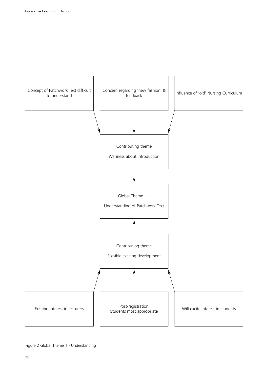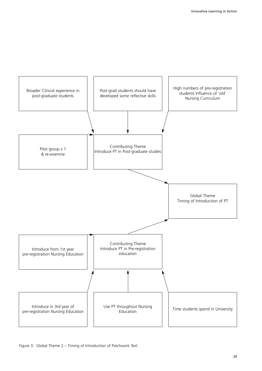

### Figure 3. Global Theme 2 – Timing of Introduction of Patchwork Text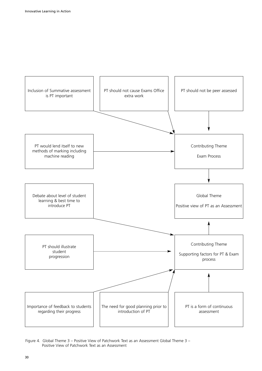![](_page_31_Figure_1.jpeg)

Figure 4. Global Theme 3 – Positive View of Patchwork Text as an Assessment Global Theme 3 – Positive View of Patchwork Text as an Assessment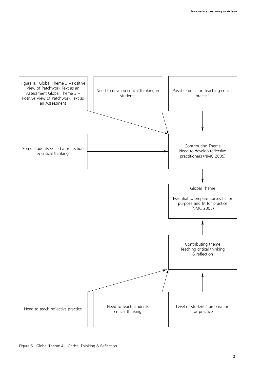![](_page_32_Figure_1.jpeg)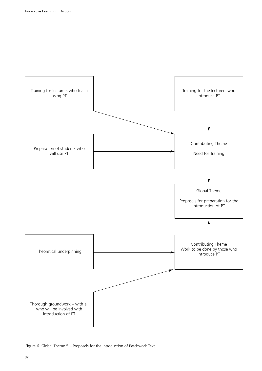![](_page_33_Figure_1.jpeg)

Figure 6. Global Theme 5 – Proposals for the Introduction of Patchwork Text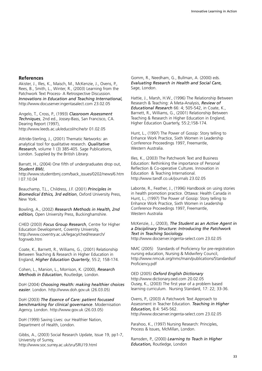### **References**

Akister, J., Illes, K., Maisch, M., McKenzie, J., Ovens, P., Rees, B., Smith, L., Winter, R., (2003) Learning from the Patchwork Text Process- A Retrospective Discussion. *Innovations in Education and Teaching International,* http://www.docuserver.ingentasalect.com 23.02.05

Angelo, T., Cross, P., (1993) *Classroom Assessment Techniques*, 2nd ed., Jossey-Bass, San Francisco, CA. Dearing Report (1997), http://www.leeds.ac.uk/educol/ncihe/sr 01.02.05

Attride-Sterling, J., (2001) Thematic Networks: an analytical tool for qualitative research. *Qualitative Research*, volume 1 (3) 385-405. Sage Publications, London. Supplied by the British Library.

Barratt, H., (2004) One fifth of undergraduates drop out, *Student BMJ*,

http://www.studentbmj.com/back\_issues/0202/news/6.htm l 07.10.04

Beauchamp, T.L., Childress, J.F. (2001) *Principles in Biomedical Ethics, 3rd edition*, Oxford University Press, New York.

Bowling, A., (2002) *Research Methods in Health, 2nd edition,* Open University Press, Buckinghamshire.

CHED (2003) *Focus Group Research*, Centre for Higher Education Development, Coventry University, http://www.coventry.ac.uk/legacy/ched/research/ fogrweb.htm

Coate, K., Barnett, R., Williams, G., (2001) Relationship Between Teaching & Research in Higher Education in England, *Higher Education Quarterly*, 55:2; 158-174.

Cohen, L., Manion, L., Morrison, K. (2000), *Research Methods in Education*, Routledge, London.

DoH (2004) *Choosing Health: making healthier choices easier*. London. http://www.doh.gov.uk (26.03.05)

DoH (2003) *The Essence of Care: patient focussed benchmarking for clinical governance*. Modernisation Agency. London. http://www.gov.uk (26.03.05)

DoH (1999) Saving Lives: our Healthier Nation, Department of Health, London.

Gibbs, A., (2003) Social Research Update, Issue 19, pp1-7, University of Surrey, http://www.soc.surrey.ac.uk/sru/SRU19.html

Gomm, R., Needham, G., Bullman, A. (2000) eds. *Evaluating Research in Health and Social Care,* Sage, London.

Hattie, J., Marsh, H.W., (1996) The Relationship Between Research & Teaching: A Meta-Analysis, *Review of Educational Research* 66: 4; 505-542, in Coate, K., Barnett, R., Williams, G., (2001) Relationship Between Teaching & Research in Higher Education in England, Higher Education Quarterly, 55:2;158-174.

Hunt, L., (1997) The Power of Gossip: Story telling to Enhance Work Practice, Sixth Women in Leadership Conference Proceedings 1997, Freemantle, Western Australia.

Illes, K., (2003) The Patchwork Text and Business Education: Rethinking the importance of Personal Reflection & Co-operative Cultures. Innovation in Education & Teaching International. http://www.tandf.co.uk/journals 23.02.05

Labonte, R., Feather, J., (1996) Handbook on using stories in health promotion practice. Ottawa: Health Canada in Hunt, L., (1997) The Power of Gossip: Story telling to Enhance Work Practice, Sixth Women in Leadership Conference Proceedings 1997, Freemantle, Western Australia

# McKenzie, J., (2003), *The Student as an Active Agent in a Disciplinary Structure: Introducing the Patchwork Text in Teaching Sociology.*

http://www.docserver.ingenta-select.com 23.02.05

NMC (2005) Standards of Proficiency for pre-registration nursing education, Nursing & Midwifery Council, http://www.nmcuk.org/nmc/main/publications/Standardsof Proficiency.pdf

OED (2005) *Oxford English Dictionary* http://www.dictionary.oed.com 20.02.05 Ousey, K., (2003) The first year of a problem based learning curriculum. Nursing Standard, 17: 22; 33-36.

Ovens, P., (2003) A Patchwork Text Approach to Assessment in Teacher Education. *Teaching in Higher Education,* 8:4: 545-562. http://www.docserver.ingenta-select.com 23.02.05

Parahoo, K., (1997) Nursing Research: Principles, Process & Issues, McMillan, London.

Ramsden, P., (2000) *Learning to Teach in Higher Education,* Routledge, London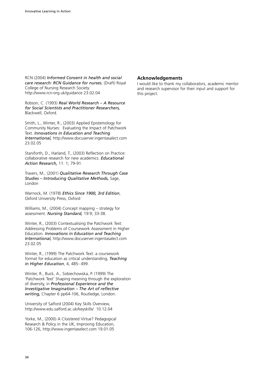RCN (2004) *Informed Consent in health and social care research: RCN Guidance for nurses.* (Draft) Royal College of Nursing Research Society. http://www.rcn-org.uk/guidance 23.02.04

Robson, C. (1993) *Real World Research – A Resource for Social Scientists and Practitioner Researchers,* Blackwell, Oxford.

Smith, L., Winter, R., (2003) Applied Epistemology for Community Nurses: Evaluating the Impact of Patchwork Text. *Innovations in Education and Teaching International,* http://www.docuserver.ingentasalect.com 23.02.05

Staniforth, D., Harland, T., (2003) Reflection on Practice: collaborative research for new academics. *Educational Action Research,* 11: 1; 79-91.

Travers, M., (2001) *Qualitative Research Through Case Studies – Introducing Qualitative Methods,* Sage, London

Warnock, M. (1978) *Ethics Since 1900, 3rd Edition*, Oxford University Press, Oxford

Williams, M., (2004) Concept mapping – strategy for assessment. *Nursing Standard,* 19:9; 33-38.

Winter, R., (2003) Contextualising the Patchwork Text: Addressing Problems of Coursework Assessment in Higher Education. *Innovations in Education and Teaching International,* http://www.docuserver.ingentasalect.com 23.02.05

Winter, R., (1999) The Patchwork Text: a coursework format for education as critical understanding, *Teaching in Higher Education*, 4, 485- 499.

Winter, R., Buck, A., Sobiechowska, P. (1999) The 'Patchwork Text' Shaping meaning through the exploration of diversity, in *Professional Experience and the Investigative Imagination – The Art of reflective writing,* Chapter 6 pp64-106, Routledge, London.

University of Salford (2004) Key Skills Overview, http://www.edu.salford.ac.uk/keyskills/ 10.12.04

Yorke, M., (2000) A Cloistered Virtue? Pedagogical Research & Policy in the UK, Improving Education, 106-126, http://www.ingentaselect.com 19.01.05

# **Acknowledgements**

I would like to thank my collaborators, academic mentor and research supervisor for their input and support for this project.

.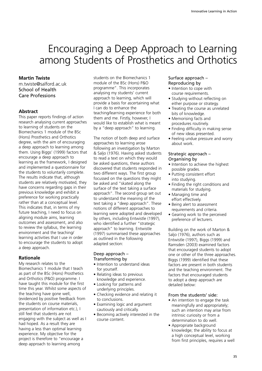# Encouraging a Deep Approach to Learning among Students of Prosthetics and Orthotics

# **Martin Twiste**

m.twiste@salford.ac.uk School of Health Care Professions

# **Abstract**

This paper reports findings of action research analysing current approaches to learning of students on the Biomechanics 1 module of the BSc (Hons) Prosthetics and Orthotics degree, with the aim of encouraging a deep approach to learning among them. Using Biggs' (1999) factors that encourage a deep approach to learning as the framework, I designed and implemented a questionnaire for the students to voluntarily complete. The results indicate that, although students are relatively motivated, they have concerns regarding gaps in their previous knowledge and exhibit a preference for working practically rather than at a conceptual level. This indicates that, in terms of my future teaching, I need to focus on aligning module aims, learning outcomes and assessment, and also to review the syllabus, the learning environment and the teaching/ learning activities that I use in order to encourage the students to adopt a deep approach.

# **Rationale**

My research relates to the Biomechanics 1 module that I teach as part of the BSc (Hons) Prosthetics and Orthotics (P&O) programme. I have taught this module for the first time this year. Whilst some aspects of the teaching have gone well, (evidenced by positive feedback from the students on course materials, presentation of information etc.), I still feel that students are not engaging with the subject as well as I had hoped. As a result they are having a less than optimal learning experience. My objective for the project is therefore to "encourage a deep approach to learning among

students on the Biomechanics 1 module of the BSc (Hons) P&O programme". This incorporates analysing my students' current approach to learning, which will provide a basis for ascertaining what I can do to enhance the teaching/learning experience for both them and me. Firstly, however, I would like to establish what is meant by a "deep approach" to learning.

The notion of both deep and surface approaches to learning arose following an investigation by Marton & Saljo (1976). Having asked students to read a text on which they would be asked questions, these authors discovered that students responded in two different ways. The first group focussed on the questions they might be asked and "skated along the surface of the text taking a surface approach". The second group set out to understand the meaning of the text taking a "deep approach". These notions of different approaches to learning were adopted and developed by others, including Entwistle (1997), who identified a further "strategic approach" to learning. Entwistle (1997) summarised these approaches as outlined in the following adapted section:

#### Deep approach – Transforming by

- Intention to understand ideas for yourself.
- Relating ideas to previous knowledge and experience.
- Looking for patterns and underlying principles.
- Checking evidence and relating it to conclusions.
- Examining logic and argument cautiously and critically.
- Becoming actively interested in the course content.

# Surface approach – Reproducing by

- Intention to cope with course requirements.
- Studying without reflecting on either purpose or strategy.
- Treating the course as unrelated bits of knowledge.
- Memorising facts and procedures routinely.
- Finding difficulty in making sense of new ideas presented.
- Feeling undue pressure and worry about work.

# Strategic approach – Organising by

- Intention to achieve the highest possible grades.
- Putting consistent effort into studying.
- Finding the right conditions and materials for studying.
- Managing time and effort effectively.
- Being alert to assessment requirements and criteria.
- Gearing work to the perceived preference of lecturers.

Building on the work of Marton & Saljo (1976), authors such as Entwistle (1997), Biggs (1999) and Ramsden (2003) examined factors that encouraged students to adopt one or other of the three approaches. Biggs (1999) identified that these factors are present in both students and the teaching environment. The factors that encouraged students to adopt a deep approach are detailed below:

### From the students' side:

- An intention to engage the task meaningfully and appropriately; such an intention may arise from intrinsic curiosity or from a determination to do well.
- Appropriate background knowledge; the ability to focus at a high conceptual level, working from first principles, requires a well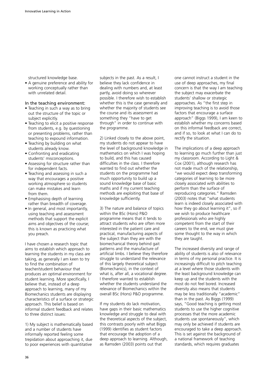structured knowledge base.

• A genuine preference and ability for working conceptually rather than with unrelated detail.

### In the teaching environment:

- Teaching in such a way as to bring out the structure of the topic or subject explicitly.
- Teaching to elicit a positive response from students, e.g. by questioning or presenting problems, rather than teaching to expound information.
- Teaching by building on what students already know.
- Confronting and eradicating students' misconceptions.
- Assessing for structure rather than for independent facts.
- Teaching and assessing in such a way that encourages a positive working atmosphere so students can make mistakes and learn from them.
- Emphasising depth of learning rather than breadth of coverage.
- In general, and most importantly, using teaching and assessment methods that support the explicit aims and objectives of the course; this is known as practicing what you preach.

I have chosen a research topic that aims to establish which approach to learning the students in my class are taking, as generally I am keen to try to find the combination of teacher/student behaviour that produces an optimal environment for student learning. More specifically, I believe that, instead of a deep approach to learning, many of my Biomechanics students are displaying characteristics of a surface or strategic approach. This belief is based on informal student feedback and relates to three distinct issues:

1) My subject is mathematically based and a number of students have informally reported feeling some trepidation about approaching it, due to poor experiences with quantitative

subjects in the past. As a result, I believe they lack confidence in dealing with numbers and, at least partly, avoid doing so wherever possible. I therefore wish to establish whether this is the case generally and whether the majority of students see the course and its assessment as something they "have to get through" in order to continue with the programme.

2) Linked closely to the above point, my students do not appear to have the level of background knowledge in mathematics on which I was hoping to build, and this has caused difficulties in the class. I therefore wanted to find out whether the students on the programme had much opportunity to build up a sound knowledge base of basic maths and if my current teaching methods are exploiting that base of knowledge sufficiently.

3) The nature and balance of topics within the BSc (Hons) P&O programme means that it tends to attract students who are often more interested in the patient care and practical, manufacturing aspects of the subject than they are with the biomechanical theory behind gait patterns and the manufacture of artificial limbs. I believe they therefore struggle to understand the relevance of this largely theoretical subject (Biomechanics), in the context of what is, after all, a vocational degree. I therefore wanted to establish whether the students understand the relevance of Biomechanics within the overall BSc (Hons) P&O programme.

If my students do lack motivation, have gaps in their basic mathematics knowledge and struggle to deal with the theoretical aspects of the subject, this contrasts poorly with what Biggs (1999) identifies as student factors that encourage the adoption of a deep approach to learning. Although, as Ramsden (2003) points out that

one cannot instruct a student in the use of deep approaches, my final concern is that the way I am teaching the subject may exacerbate the students' shallow or strategic approaches. As "the first step in improving teaching is to avoid those factors that encourage a surface approach" (Biggs 1999), I am keen to establish whether my concerns based on this informal feedback are correct, and if so, to look at what I can do to rectify the situation.

The implications of a deep approach to learning go much further than just my classroom. According to Light & Cox (2001), although research has not made much of the relationship, "we would expect deep transforming categories of learning to be more closely associated with abilities to perform than the surface of reproducing categories." Ramsden (2003) notes that "what students learn is indeed closely associated with how they go about learning it", so if we wish to produce healthcare professionals who are highly competent from the start of their careers to the end, we must give some thought to the way in which they are taught.

The increased diversity and range of ability of students is also of relevance in terms of my personal practice. It is increasingly difficult to pitch teaching at a level where those students with the least background knowledge can keep up and the students with the most do not feel bored. Increased diversity also means that students may be less traditionally "academic" than in the past. As Biggs (1999) says, "Good teaching is getting most students to use the higher cognitive processes that the more academic students use spontaneously", which may only be achieved if students are encouraged to take a deep approach. This is set against the background of a national framework of teaching standards, which requires graduates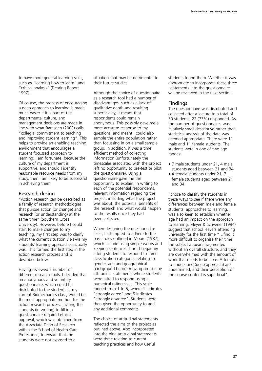to have more general learning skills, such as "learning how to learn" and "critical analysis" (Dearing Report 1997).

Of course, the process of encouraging a deep approach to learning is made much easier if it is part of the departmental culture, and management decisions are made in line with what Ramsden (2003) calls "collegial commitment to teaching and improving student learning". This helps to provide an enabling teaching environment that encourages a student focussed approach to learning. I am fortunate, because the culture of my department is supportive, and should I identify reasonable resource needs from my study, then I am likely to be successful in achieving them.

#### Research design

"Action research can be described as a family of research methodologies that pursue action (or change) and research (or understanding) at the same time" (Southern Cross University). However, before I could start to make changes to my teaching, my first step was to clarify what the current situation vis-a-vis my students' learning approaches actually was. This formed the first step in the action research process and is described below.

Having reviewed a number of different research tools, I decided that an anonymous and voluntary questionnaire, which could be distributed to the students in my current Biomechanics class, would be the most appropriate method for the action research process. Inviting the students (in writing) to fill in a questionnaire required ethical approval, which was obtained from the Associate Dean of Research within the School of Health Care Professions, to ensure that the students were not exposed to a

situation that may be detrimental to their future studies.

Although the choice of questionnaire as a research tool had a number of disadvantages, such as a lack of qualitative depth and resulting superficiality, it meant that respondents could remain anonymous. This possibly gave me a more accurate response to my questions, and meant I could also sample the entire population rather than focussing in on a small sample group. In addition, it was a time efficient method of collecting information (unfortunately the timescales associated with the project left no opportunity to pre-test or pilot the questionnaire). Using a questionnaire gave me the opportunity to explain, in writing to each of the potential respondents, relevant information regarding the project, including what the project was about, the potential benefits of the research and what would happen to the results once they had been collected.

When designing the questionnaire itself, I attempted to adhere to the basic rules outlined in Moore (1987), which include using simple words and keeping sentences short. I began by asking students to respond to three classification categories relating to gender, age and geographical background before moving on to nine attitudinal statements where students were asked to respond using a numerical rating scale. This scale ranged from 1 to 5, where 1 indicates "strongly agree" and 5 indicates "strongly disagree". Students were then given the opportunity to add any additional comments.

The choice of attitudinal statements reflected the aims of the project as outlined above. Also incorporated into the nine attitudinal statements were three relating to current teaching practices and how useful

students found them. Whether it was appropriate to incorporate these three statements into the questionnaire will be reviewed in the next section.

#### Findings

The questionnaire was distributed and collected after a lecture to a total of 30 students, 22 (73%) responded. As the number of questionnaires was relatively small descriptive rather than statistical analysis of the data was deemed appropriate. There were 11 male and 11 female students. The students were in one of two age ranges:

- 7 male students under 21, 4 male students aged between 21 and 34
- 4 female students under 21, 7 female students aged between 21 and 34

I chose to classify the students in these ways to see if there were any differences between male and female students' approaches to learning. I was also keen to establish whether age had an impact on the approach to learning. Meyer & Scrivener (1994) suggest that school leavers attending university for the first time "…find it more difficult to organise their time; the subject appears fragmented without an overall structure, and they are overwhelmed with the amount of work that needs to be core. Attempts to understand (deep approach) are undermined, and their perception of the course content is superficial".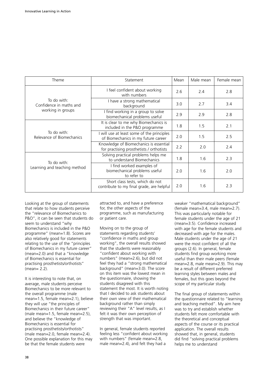| Theme                                                       | Statement                                                                          |     | Male mean | Female mean |
|-------------------------------------------------------------|------------------------------------------------------------------------------------|-----|-----------|-------------|
| To do with:<br>Confidence in maths and<br>working in groups | I feel confident about working<br>with numbers                                     | 2.6 | 2.4       | 2.8         |
|                                                             | I have a strong mathematical<br>background                                         | 3.0 | 2.7       | 3.4         |
|                                                             | I find working in a group to solve<br>biomechanical problems useful                | 2.9 | 2.9       | 2.8         |
| To do with:<br>Relevance of Biomechanics                    | It is clear to me why Biomechanics is<br>included in the P&O programme             | 1.8 | 1.5       | 2.1         |
|                                                             | I will use at least some of the principles<br>of Biomechanics in my future career  | 2.0 | 1.5       | 2.5         |
|                                                             | Knowledge of Biomechanics is essential<br>for practising prosthetists / orthotists | 2.2 | 2.0       | 2.4         |
| To do with:<br>Learning and teaching method                 | Solving practical problems helps me<br>to understand Biomechanics                  | 1.8 | 1.6       | 2.3         |
|                                                             | I find worked examples of<br>biomechanical problems useful<br>to refer to          | 2.0 | 1.6       | 2.0         |
|                                                             | Short class tests, which do not<br>contribute to my final grade, are helpful       | 2.0 | 1.6       | 2.3         |

Looking at the group of statements that relate to how students perceive the "relevance of Biomechanics to P&O", it can be seen that students do seem to understand "why Biomechanics is included in the P&O programme" (mean=1.8). Scores are also relatively good for statements relating to the use of the "principles of Biomechanics in my future career" (mean=2.0) and that a "knowledge of Biomechanics is essential for practising prosthetists/orthotists" (mean= 2.2).

It is interesting to note that, on average, male students perceive Biomechanics to be more relevant to the overall programme (male mean=1.5, female mean=2.1), believe they will use "the principles of Biomechanics in their future career" (male mean=1.5, female mean=2.5), and believe the "knowledge of Biomechanics is essential for practising prosthetists/orthotists" (male mean=2.0, female mean=2.4). One possible explanation for this may be that the female students were

attracted to, and have a preference for, the other aspects of the programme, such as manufacturing or patient care.

Moving on to the group of statements regarding students' "confidence in maths and group working", the overall results showed that the students were reasonably "confident about working with numbers" (mean=2.6), but did not feel they had a "strong mathematical background" (mean=3.0). The score on this item was the lowest mean in the questionnaire, showing the students disagreed with this statement the most. It is worth noting that I decided to ask students about their own view of their mathematical background rather than simply reviewing their "A" level results, as I felt it was their own perception of strength that was important.

In general, female students reported feeling less "confident about working with numbers" (female mean=2.8, male mean=2.4), and felt they had a

weaker "mathematical background" (female mean=3.4, male mean=2.7). This was particularly notable for female students under the age of 21 (mean=3.5). Confidence increased with age for the female students and decreased with age for the males. Male students under the age of 21 were the most confident of all the groups (2.6). In general, female students find group working more useful than their male peers (female mean=2.8, male mean=2.9). This may be a result of different preferred learning styles between males and females, but this goes beyond the scope of my particular study.

The final group of statements within the questionnaire related to "learning and teaching method". My aim here was to try and establish whether students felt more comfortable with the theoretical and conceptual aspects of the course or its practical application. The overall results showed that, in general, students did find "solving practical problems helps me to understand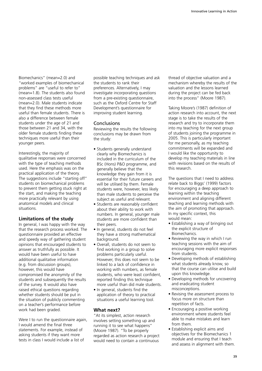Biomechanics" (mean=2.0) and "worked examples of biomechanical problems" are "useful to refer to" (mean=1.8). The students also found non-assessed class tests useful (mean=2.0). Male students indicate that they find these methods more useful than female students. There is also a difference between female students under the age of 21 and those between 21 and 34, with the older female students finding these techniques more useful than their younger peers.

Interestingly, the majority of qualitative responses were concerned with the type of teaching methods used. Here the emphasis was on the practical application of the theory. The suggestions include "starting off" students on biomechanical problems to prevent them getting stuck right at the start, and making the teaching more practically relevant by using anatomical models and clinical situations.

# **Limitations of the study**

In general, I was happy with the way that the research process worked. The questionnaire provided an effective and speedy way of gathering student opinions that encouraged students to answer as truthfully as possible. It would have been useful to have additional qualitative information (e.g. from discussion groups), however, this would have compromised the anonymity of the students and subsequently the results of the survey. It would also have raised ethical questions regarding whether students should be put in the situation of publicly commenting on a teacher's performance before work had been graded.

Were I to run the questionnaire again, I would amend the final three statements. For example, instead of asking students if they want more tests in class I would include a list of

possible teaching techniques and ask the students to rank their preferences. Alternatively, I may investigate incorporating questions from a pre-existing questionnaire, such as the Oxford Centre for Staff Development's questionnaire for improving student learning.

### **Conclusions**

Reviewing the results the following conclusions may be drawn from the study:

- Students generally understand clearly why Biomechanics is included in the curriculum of the BSc (Hons) P&O programme, and generally believe that the knowledge they gain from it is essential for their future careers and will be utilised by them. Female students were, however, less likely than male students to perceive the subject as useful and relevant.
- Students are reasonably confident about their ability to work with numbers. In general, younger male students are more confident than their peers.
- In general, students do not feel they have a strong mathematical background.
- Overall, students do not seem to find working in a group to solve problems particularly useful. However, this does not seem to be linked to a lack of confidence in working with numbers, as female students, who were least confident, reported finding this technique more useful than did male students.
- In general, students find the application of theory to practical situations a useful learning tool.

# **What next?**

"At its simplest, action research involves setting something up and running it to see what happens" (Moore 1987). "To be properly regarded as action research a project would need to contain a continuous

thread of objective valuation and a mechanism whereby the results of the valuation and the lessons learned during the project can be fed back into the process" (Moore 1987).

Taking Moore's (1987) definition of action research into account, the next stage is to take the results of the research and try to incorporate them into my teaching for the next group of students joining the programme in 2005. This is particularly important for me personally, as my teaching commitments will be expanded and I would like the opportunity to develop my teaching materials in line with revisions based on the results of this research.

The questions that I need to address relate back to Biggs' (1999) factors for encouraging a deep approach to learning within the teaching environment and aligning different teaching and learning methods with the aim of promoting that approach. In my specific context, this would mean:

- Establishing a way of bringing out the explicit structure of Biomechanics.
- Reviewing the way in which I run teaching sessions with the aim of encouraging more explicit responses from students.
- Developing methods of establishing what students already know, so that the course can utilise and build upon this knowledge.
- Developing methods for uncovering and eradicating student misconceptions.
- Revising the assessment process to focus more on structure than repetition of facts.
- Encouraging a positive working environment where students feel able to make mistakes and learn from them.
- Establishing explicit aims and objectives for the Biomechanics 1 module and ensuring that I teach and assess in alignment with them.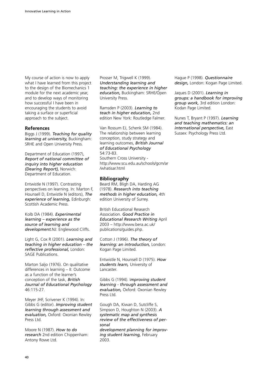My course of action is now to apply what I have learned from this project to the design of the Biomechanics 1 module for the next academic year, and to develop ways of monitoring how successful I have been in encouraging the students to avoid taking a surface or superficial approach to the subject.

#### **References**

Biggs J (1999). *Teaching for quality learning at university,* Buckingham: SRHE and Open University Press.

Department of Education (1997), *Report of national committee of inquiry into higher education (Dearing Report),* Norwich: Department of Education.

Entwistle N (1997). Contrasting perspectives on learning. In: Marton F, Hounsell D, Entwistle N (editors), *The experience of learning,* Edinburgh: Scottish Academic Press.

Kolb DA (1984). *Experimental learning – experience as the source of learning and development.*NJ: Englewood Cliffs.

Light G, Cox R (2001). *Learning and teaching in higher education – the reflective professional,* London: SAGE Publications.

Marton Saljo (1976). On qualitative differences in learning – II: Outcome as a function of the learner's conception of the task, *British Journal of Educational Psychology* 46:115-27.

Meyer JHF, Scrivener K (1994). In: Gibbs G (editor). *Improving student learning through assessment and evaluation,* Oxford: Oxonian Rewley Press Ltd.

Moore N (1987). *How to do research* 2nd edition Chippenham: Antony Rowe Ltd.

Prosser M, Trigwell K (1999). *Understanding learning and teaching: the experience in higher education,* Buckingham: SRHE/Open University Press.

Ramsden P (2003). *Learning to teach in higher education,* 2nd edition New York: Routledge Falmer.

Van Rossum EJ, Schenk SM (1984). The relationship between learning conception, study strategy and learning outcomes, *British Journal of Educational Psychology* 54:73-83.

Southern Cross University http://www.scu.edu.au/schools/gcm/ar /whatisar.html

### **Bibliography**

Beard RM, Bligh DA, Harding AG (1978). *Research into teaching methods in higher education,* 4th edition University of Surrey.

British Educational Research Association. *Good Practice in Educational Research Writing* April 2003 – http://www.bera.ac.uk/ publications/guides.php.

Cotton J (1996). *The theory of learning: an introduction,* London: Kogan Page Limited.

Entwistle N, Hounsell D (1975). *How students learn,* University of Lancaster.

Gibbs G (1994). I*mproving student learning - through assessment and evaluation,* Oxford: Oxonian Rewley Press Ltd.

Gough DA, Kiwan D, Sutcliffe S, Simpson D, Houghton N (2003). *A systematic map and synthesis review of the effectiveness of personal* 

*development planning for improving student learning,* February 2003.

Hague P (1998). *Questionnaire design,* London: Kogan Page Limited.

Jaques D (2001). *Learning in groups: a handbook for improving group work,* 3rd edition London: Kodan Page Limited.

Nunes T, Bryant P (1997). *Learning and teaching mathematics: an international perspective,* East Sussex: Psychology Press Ltd.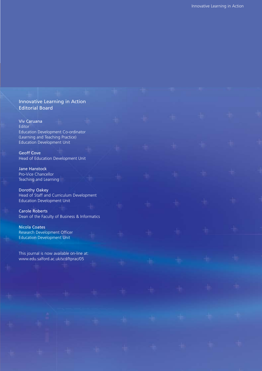| Innovative Learning in Action<br><b>Editorial Board</b>                                                                                                                  |  |  |  |  |
|--------------------------------------------------------------------------------------------------------------------------------------------------------------------------|--|--|--|--|
| Viv Caruana<br>Editor<br>Education Development Co-ordinator                                                                                                              |  |  |  |  |
| (Learning and Teaching Practice)<br><b>Education Development Unit</b><br><b>Geoff Cove</b><br>Head of Education Development Unit                                         |  |  |  |  |
| <b>Jane Hanstock</b><br>Pro-Vice Chancellor<br>Teaching and Learning                                                                                                     |  |  |  |  |
| Dorothy Oakey<br>Head of Staff and Curriculum Development<br><b>Education Development Unit</b><br><b>Carole Roberts</b><br>Dean of the Faculty of Business & Informatics |  |  |  |  |
| <b>Nicola Coates</b><br>Research Development Officer<br><b>Education Development Unit</b>                                                                                |  |  |  |  |
| This journal is now available on-line at:<br>www.edu.salford.ac.uk/scd/ltprac/05                                                                                         |  |  |  |  |
|                                                                                                                                                                          |  |  |  |  |
|                                                                                                                                                                          |  |  |  |  |
|                                                                                                                                                                          |  |  |  |  |